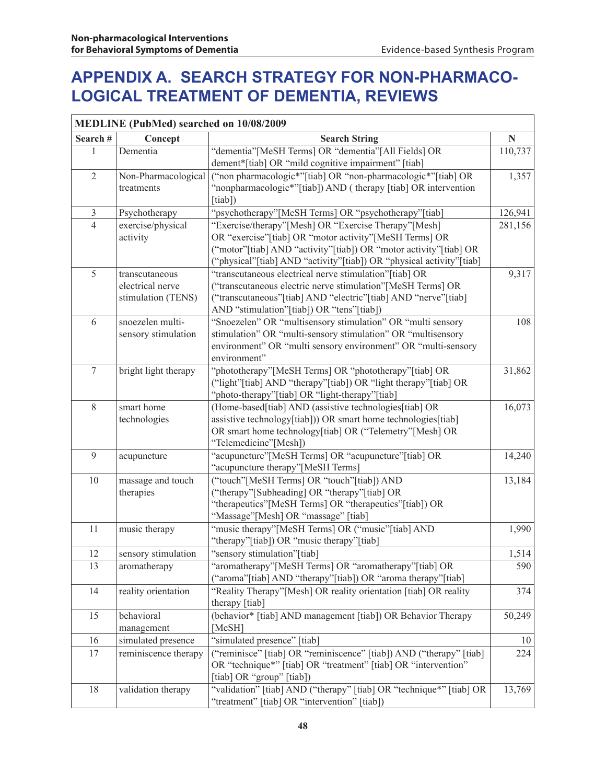## **APPENDIX A. Search Strategy for Non-pharmacological Treatment of Dementia, Reviews**

| <b>MEDLINE (PubMed) searched on 10/08/2009</b> |                      |                                                                                  |                     |
|------------------------------------------------|----------------------|----------------------------------------------------------------------------------|---------------------|
| Search#                                        | Concept              | <b>Search String</b>                                                             | N                   |
| 1                                              | Dementia             | "dementia"[MeSH Terms] OR "dementia"[All Fields] OR                              | 110,737             |
|                                                |                      | dement*[tiab] OR "mild cognitive impairment" [tiab]                              |                     |
| $\overline{2}$                                 | Non-Pharmacological  | ("non pharmacologic*"[tiab] OR "non-pharmacologic*"[tiab] OR                     | 1,357               |
|                                                | treatments           | "nonpharmacologic*"[tiab]) AND (therapy [tiab] OR intervention                   |                     |
|                                                |                      | [tiab])                                                                          |                     |
| $\mathfrak{Z}$                                 | Psychotherapy        | "psychotherapy"[MeSH Terms] OR "psychotherapy"[tiab]                             | 126,941             |
| $\overline{4}$                                 | exercise/physical    | "Exercise/therapy"[Mesh] OR "Exercise Therapy"[Mesh]                             | 281,156             |
|                                                | activity             | OR "exercise"[tiab] OR "motor activity"[MeSH Terms] OR                           |                     |
|                                                |                      | ("motor"[tiab] AND "activity"[tiab]) OR "motor activity"[tiab] OR                |                     |
|                                                |                      | ("physical"[tiab] AND "activity"[tiab]) OR "physical activity"[tiab]             |                     |
| 5                                              | transcutaneous       | "transcutaneous electrical nerve stimulation"[tiab] OR                           | 9,317               |
|                                                | electrical nerve     | ("transcutaneous electric nerve stimulation"[MeSH Terms] OR                      |                     |
|                                                | stimulation (TENS)   | ("transcutaneous"[tiab] AND "electric"[tiab] AND "nerve"[tiab]                   |                     |
|                                                |                      | AND "stimulation"[tiab]) OR "tens"[tiab])                                        |                     |
| 6                                              | snoezelen multi-     | "Snoezelen" OR "multisensory stimulation" OR "multi sensory                      | 108                 |
|                                                | sensory stimulation  | stimulation" OR "multi-sensory stimulation" OR "multisensory                     |                     |
|                                                |                      | environment" OR "multi sensory environment" OR "multi-sensory                    |                     |
|                                                |                      | environment"                                                                     |                     |
| $\overline{7}$                                 | bright light therapy | "phototherapy"[MeSH Terms] OR "phototherapy"[tiab] OR                            | 31,862              |
|                                                |                      | ("light"[tiab] AND "therapy"[tiab]) OR "light therapy"[tiab] OR                  |                     |
|                                                |                      | "photo-therapy"[tiab] OR "light-therapy"[tiab]                                   |                     |
| 8                                              | smart home           | (Home-based[tiab] AND (assistive technologies[tiab] OR                           | 16,073              |
|                                                | technologies         | assistive technology[tiab])) OR smart home technologies[tiab]                    |                     |
|                                                |                      | OR smart home technology[tiab] OR ("Telemetry"[Mesh] OR<br>"Telemedicine"[Mesh]) |                     |
| 9                                              |                      | "acupuncture"[MeSH Terms] OR "acupuncture"[tiab] OR                              |                     |
|                                                | acupuncture          | "acupuncture therapy"[MeSH Terms]                                                | 14,240              |
| 10                                             | massage and touch    | ("touch"[MeSH Terms] OR "touch"[tiab]) AND                                       | $\overline{13,184}$ |
|                                                | therapies            | ("therapy"[Subheading] OR "therapy"[tiab] OR                                     |                     |
|                                                |                      | "therapeutics"[MeSH Terms] OR "therapeutics"[tiab]) OR                           |                     |
|                                                |                      | "Massage"[Mesh] OR "massage" [tiab]                                              |                     |
| 11                                             | music therapy        | "music therapy"[MeSH Terms] OR ("music"[tiab] AND                                | 1,990               |
|                                                |                      | "therapy"[tiab]) OR "music therapy"[tiab]                                        |                     |
| 12                                             | sensory stimulation  | "sensory stimulation"[tiab]                                                      | 1,514               |
| 13                                             | aromatherapy         | aromatherapy"[MeSH Terms] OR "aromatherapy"[tiab] OR                             | 590                 |
|                                                |                      | ("aroma"[tiab] AND "therapy"[tiab]) OR "aroma therapy"[tiab]                     |                     |
| 14                                             | reality orientation  | "Reality Therapy" [Mesh] OR reality orientation [tiab] OR reality                | 374                 |
|                                                |                      | therapy [tiab]                                                                   |                     |
| 15                                             | behavioral           | (behavior* [tiab] AND management [tiab]) OR Behavior Therapy                     | 50,249              |
|                                                | management           | [MeSH]                                                                           |                     |
| 16                                             | simulated presence   | "simulated presence" [tiab]                                                      | 10                  |
| 17                                             | reminiscence therapy | ("reminisce" [tiab] OR "reminiscence" [tiab]) AND ("therapy" [tiab]              | 224                 |
|                                                |                      | OR "technique*" [tiab] OR "treatment" [tiab] OR "intervention"                   |                     |
|                                                |                      | [tiab] OR "group" [tiab])                                                        |                     |
| 18                                             | validation therapy   | "validation" [tiab] AND ("therapy" [tiab] OR "technique*" [tiab] OR              | 13,769              |
|                                                |                      | "treatment" [tiab] OR "intervention" [tiab])                                     |                     |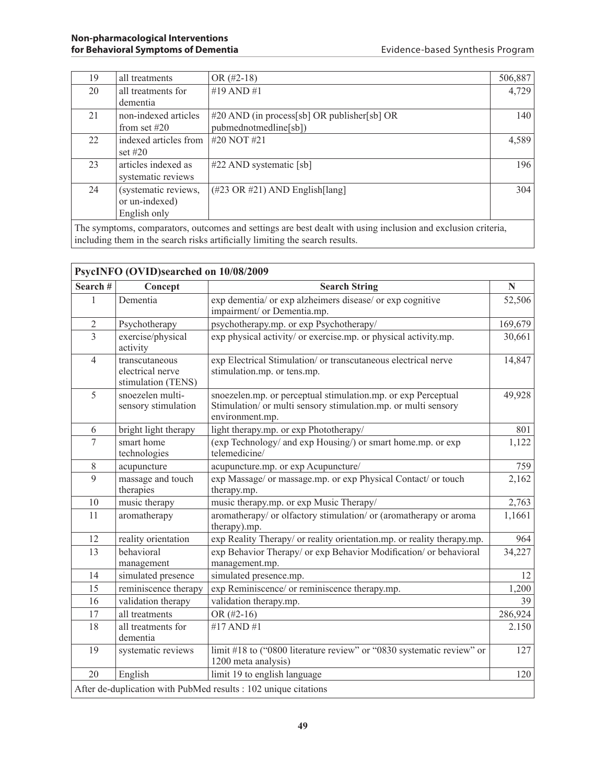| 19                                                                                                           | all treatments        | OR $(\#2-18)$                                  | 506,887 |
|--------------------------------------------------------------------------------------------------------------|-----------------------|------------------------------------------------|---------|
| 20                                                                                                           | all treatments for    | #19 AND #1                                     | 4,729   |
|                                                                                                              | dementia              |                                                |         |
| 21                                                                                                           | non-indexed articles  | $\#20$ AND (in process[sb] OR publisher[sb] OR | 140     |
|                                                                                                              | from set $#20$        | pubmednotmedline[sb])                          |         |
| 22                                                                                                           | indexed articles from | #20 NOT #21                                    | 4,589   |
|                                                                                                              | set $\#20$            |                                                |         |
| 23                                                                                                           | articles indexed as   | $#22$ AND systematic [sb]                      | 196     |
|                                                                                                              | systematic reviews    |                                                |         |
| 24                                                                                                           | (systematic reviews,  | $(\#23 \text{ OR } \#21)$ AND English [lang]   | 304     |
|                                                                                                              | or un-indexed)        |                                                |         |
|                                                                                                              | English only          |                                                |         |
| The symptoms, comparators, outcomes and settings are best dealt with using inclusion and exclusion criteria, |                       |                                                |         |

including them in the search risks artificially limiting the search results.

| PsycINFO (OVID)searched on 10/08/2009                           |                                                          |                                                                                                                                                    |         |
|-----------------------------------------------------------------|----------------------------------------------------------|----------------------------------------------------------------------------------------------------------------------------------------------------|---------|
| Search#                                                         | Concept                                                  | <b>Search String</b>                                                                                                                               | N       |
| $\mathbf{1}$                                                    | Dementia                                                 | exp dementia/ or exp alzheimers disease/ or exp cognitive<br>impairment/ or Dementia.mp.                                                           | 52,506  |
| $\overline{2}$                                                  | Psychotherapy                                            | psychotherapy.mp. or exp Psychotherapy/                                                                                                            | 169,679 |
| $\overline{3}$                                                  | exercise/physical<br>activity                            | exp physical activity/ or exercise.mp. or physical activity.mp.                                                                                    | 30,661  |
| $\overline{4}$                                                  | transcutaneous<br>electrical nerve<br>stimulation (TENS) | exp Electrical Stimulation/ or transcutaneous electrical nerve<br>stimulation.mp. or tens.mp.                                                      | 14,847  |
| 5                                                               | snoezelen multi-<br>sensory stimulation                  | snoezelen.mp. or perceptual stimulation.mp. or exp Perceptual<br>Stimulation/ or multi sensory stimulation.mp. or multi sensory<br>environment.mp. | 49,928  |
| 6                                                               | bright light therapy                                     | light therapy.mp. or exp Phototherapy/                                                                                                             | 801     |
| 7                                                               | smart home<br>technologies                               | (exp Technology/ and exp Housing/) or smart home.mp. or exp<br>telemedicine/                                                                       | 1,122   |
| $\,$ 8 $\,$                                                     | acupuncture                                              | acupuncture.mp. or exp Acupuncture/                                                                                                                | 759     |
| 9                                                               | massage and touch<br>therapies                           | exp Massage/ or massage.mp. or exp Physical Contact/ or touch<br>therapy.mp.                                                                       | 2,162   |
| 10                                                              | music therapy                                            | music therapy.mp. or exp Music Therapy/                                                                                                            | 2,763   |
| 11                                                              | aromatherapy                                             | aromatherapy/ or olfactory stimulation/ or (aromatherapy or aroma<br>therapy).mp.                                                                  | 1,1661  |
| 12                                                              | reality orientation                                      | exp Reality Therapy/ or reality orientation.mp. or reality therapy.mp.                                                                             | 964     |
| 13                                                              | behavioral<br>management                                 | exp Behavior Therapy/ or exp Behavior Modification/ or behavioral<br>management.mp.                                                                | 34,227  |
| 14                                                              | simulated presence                                       | simulated presence.mp.                                                                                                                             | 12      |
| 15                                                              | reminiscence therapy                                     | exp Reminiscence/ or reminiscence therapy.mp.                                                                                                      | 1,200   |
| 16                                                              | validation therapy                                       | validation therapy.mp.                                                                                                                             | 39      |
| 17                                                              | all treatments                                           | OR $(\#2-16)$                                                                                                                                      | 286,924 |
| 18                                                              | all treatments for<br>dementia                           | #17 AND #1                                                                                                                                         | 2.150   |
| 19                                                              | systematic reviews                                       | limit #18 to ("0800 literature review" or "0830 systematic review" or<br>1200 meta analysis)                                                       | 127     |
| 20                                                              | English                                                  | limit 19 to english language                                                                                                                       | 120     |
| After de-duplication with PubMed results : 102 unique citations |                                                          |                                                                                                                                                    |         |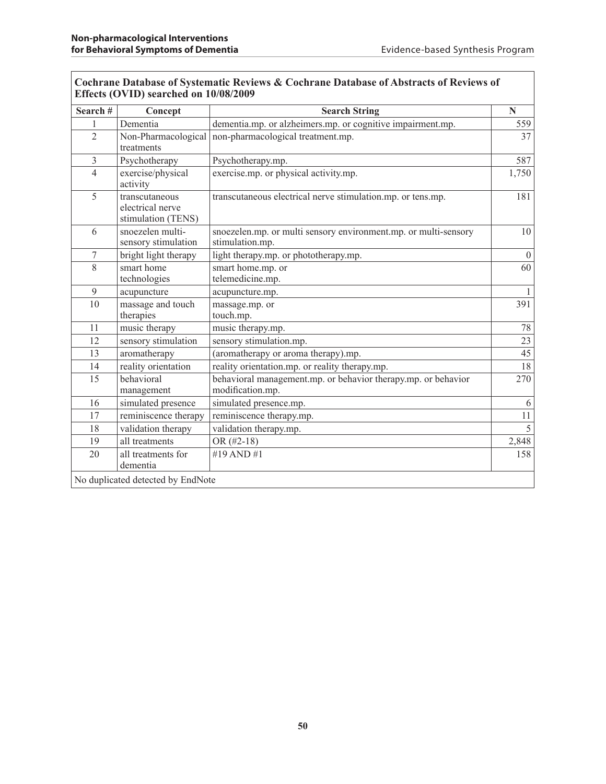| Search#        | Concept                                                  | <b>Search String</b>                                                               | N            |
|----------------|----------------------------------------------------------|------------------------------------------------------------------------------------|--------------|
| $\mathbf{1}$   | Dementia                                                 | dementia.mp. or alzheimers.mp. or cognitive impairment.mp.                         | 559          |
| $\overline{2}$ | Non-Pharmacological<br>treatments                        | non-pharmacological treatment.mp.                                                  | 37           |
| $\overline{3}$ | Psychotherapy                                            | Psychotherapy.mp.                                                                  | 587          |
| $\overline{4}$ | exercise/physical<br>activity                            | exercise.mp. or physical activity.mp.                                              | 1,750        |
| 5              | transcutaneous<br>electrical nerve<br>stimulation (TENS) | transcutaneous electrical nerve stimulation.mp. or tens.mp.                        | 181          |
| 6              | snoezelen multi-<br>sensory stimulation                  | snoezelen.mp. or multi sensory environment.mp. or multi-sensory<br>stimulation.mp. | 10           |
| $\tau$         | bright light therapy                                     | light therapy.mp. or phototherapy.mp.                                              | $\theta$     |
| 8              | smart home<br>technologies                               | smart home.mp. or<br>telemedicine.mp.                                              | 60           |
| 9              | acupuncture                                              | acupuncture.mp.                                                                    | $\mathbf{1}$ |
| 10             | massage and touch<br>therapies                           | massage.mp. or<br>touch.mp.                                                        | 391          |
| 11             | music therapy                                            | music therapy.mp.                                                                  | 78           |
| 12             | sensory stimulation                                      | sensory stimulation.mp.                                                            | 23           |
| 13             | aromatherapy                                             | (aromatherapy or aroma therapy).mp.                                                | 45           |
| 14             | reality orientation                                      | reality orientation.mp. or reality therapy.mp.                                     | 18           |
| 15             | behavioral<br>management                                 | behavioral management.mp. or behavior therapy.mp. or behavior<br>modification.mp.  | 270          |
| 16             | simulated presence                                       | simulated presence.mp.                                                             | 6            |
| 17             | reminiscence therapy                                     | reminiscence therapy.mp.                                                           | 11           |
| 18             | validation therapy                                       | validation therapy.mp.                                                             | 5            |
| 19             | all treatments                                           | OR $(\#2-18)$                                                                      | 2,848        |
| 20             | all treatments for<br>dementia                           | #19 AND #1                                                                         | 158          |

#### **Cochrane Database of Systematic Reviews & Cochrane Database of Abstracts of Reviews of Effects (OVID) searched on 10/08/2009**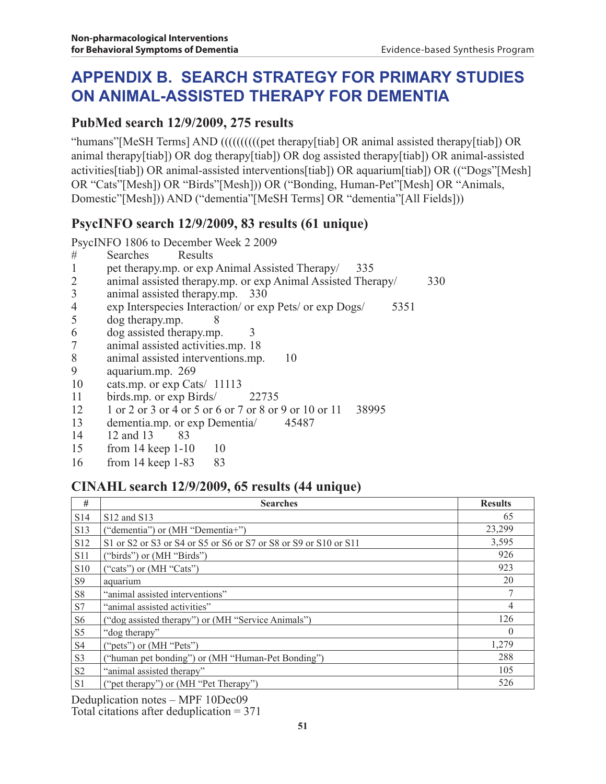# **APPENDIX B. Search Strategy for Primary Studies on Animal-assisted Therapy for Dementia**

#### **PubMed search 12/9/2009, 275 results**

"humans"[MeSH Terms] AND ((((((((((pet therapy[tiab] OR animal assisted therapy[tiab]) OR animal therapy[tiab]) OR dog therapy[tiab]) OR dog assisted therapy[tiab]) OR animal-assisted activities[tiab]) OR animal-assisted interventions[tiab]) OR aquarium[tiab]) OR (("Dogs"[Mesh] OR "Cats"[Mesh]) OR "Birds"[Mesh])) OR ("Bonding, Human-Pet"[Mesh] OR "Animals, Domestic"[Mesh])) AND ("dementia"[MeSH Terms] OR "dementia"[All Fields]))

### **PsycINFO search 12/9/2009, 83 results (61 unique)**

PsycINFO 1806 to December Week 2 2009

- # Searches Results<br>1 pet therapy.mp. or exp
- pet therapy.mp. or exp Animal Assisted Therapy/ 335
- 2 animal assisted therapy.mp. or exp Animal Assisted Therapy/ 330<br>3 animal assisted therapy.mp. 330
- 3 animal assisted therapy.mp. 330
- 4 exp Interspecies Interaction/ or exp Pets/ or exp Dogs/ 5351<br>5 dog therapy.mp. 8
- $\log$  therapy.mp. 8
- 6 dog assisted therapy.mp. 3
- 7 animal assisted activities.mp. 18
- 8 animal assisted interventions.mp. 10<br>9 agustum mp. 269
- 9 aquarium.mp. 269
- 10 cats.mp. or exp Cats/ 11113
- 11 birds.mp. or exp Birds/ 22735
- 12 1 or 2 or 3 or 4 or 5 or 6 or 7 or 8 or 9 or 10 or 11 38995
- 13 dementia.mp. or exp Dementia 45487<br>14 12 and 13 83
- 12 and 13 83
- 15 from 14 keep 1-10 10
- 16 from 14 keep 1-83 83

### **CINAHL search 12/9/2009, 65 results (44 unique)**

| #               | <b>Searches</b>                                                  | <b>Results</b> |
|-----------------|------------------------------------------------------------------|----------------|
| S <sub>14</sub> | S12 and S13                                                      | 65             |
| S13             | ("dementia") or (MH "Dementia+")                                 | 23,299         |
| S12             | S1 or S2 or S3 or S4 or S5 or S6 or S7 or S8 or S9 or S10 or S11 | 3,595          |
| <b>S11</b>      | ("birds") or (MH "Birds")                                        | 926            |
| S <sub>10</sub> | ("cats") or $(MH "Cats")$                                        | 923            |
| S <sub>9</sub>  | aquarium                                                         | 20             |
| S8              | "animal assisted interventions"                                  |                |
| S7              | "animal assisted activities"                                     | 4              |
| S <sub>6</sub>  | ("dog assisted therapy") or (MH "Service Animals")               | 126            |
| S <sub>5</sub>  | "dog therapy"                                                    | $\Omega$       |
| S <sub>4</sub>  | ("pets") or (MH "Pets")                                          | 1,279          |
| S3              | ("human pet bonding") or (MH "Human-Pet Bonding")                | 288            |
| S <sub>2</sub>  | "animal assisted therapy"                                        | 105            |
| S <sub>1</sub>  | ("pet therapy") or (MH "Pet Therapy")                            | 526            |

Deduplication notes – MPF 10Dec09

Total citations after deduplication = 371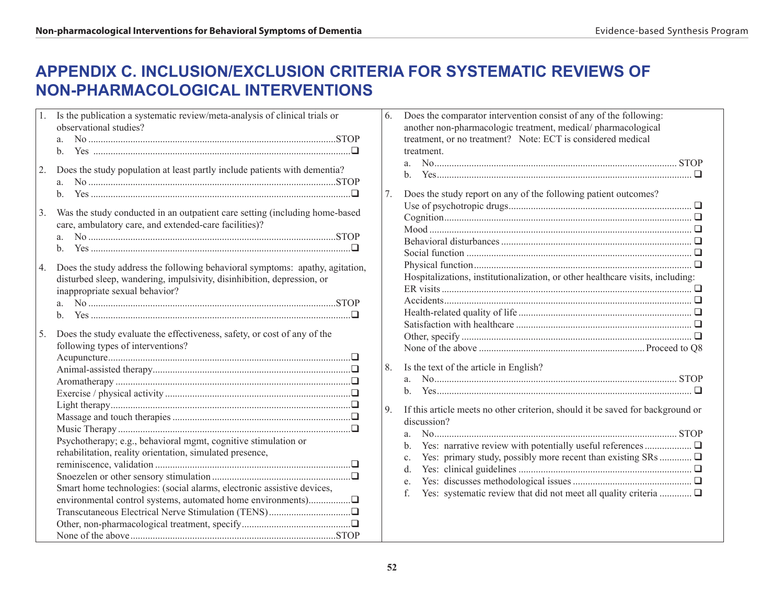## **APPENDIX C. Inclusion/Exclusion Criteria for Systematic Reviews of Non-pharmacological Interventions**

| 1. | Is the publication a systematic review/meta-analysis of clinical trials or<br>observational studies?                                                                                                 |
|----|------------------------------------------------------------------------------------------------------------------------------------------------------------------------------------------------------|
|    | a.<br>b.                                                                                                                                                                                             |
| 2. | Does the study population at least partly include patients with dementia?<br>a.<br>b.                                                                                                                |
| 3. | Was the study conducted in an outpatient care setting (including home-based<br>care, ambulatory care, and extended-care facilities)?<br>a.<br>$\mathbf{b}$ .                                         |
| 4. | Does the study address the following behavioral symptoms: apathy, agitation,<br>disturbed sleep, wandering, impulsivity, disinhibition, depression, or<br>inappropriate sexual behavior?<br>a.<br>h. |
| 5. | Does the study evaluate the effectiveness, safety, or cost of any of the<br>following types of interventions?<br>Psychotherapy; e.g., behavioral mgmt, cognitive stimulation or                      |
|    | rehabilitation, reality orientation, simulated presence,<br>Smart home technologies: (social alarms, electronic assistive devices,                                                                   |

| Does the comparator intervention consist of any of the following:<br>another non-pharmacologic treatment, medical/pharmacological<br>treatment, or no treatment? Note: ECT is considered medical<br>treatment.<br>a.<br>h.                                                                |
|-------------------------------------------------------------------------------------------------------------------------------------------------------------------------------------------------------------------------------------------------------------------------------------------|
| Does the study report on any of the following patient outcomes?<br>Social function $\ldots$ $\ldots$ $\ldots$ $\ldots$ $\ldots$ $\ldots$ $\ldots$ $\ldots$ $\ldots$ $\ldots$ $\ldots$ $\ldots$ $\ldots$<br>Hospitalizations, institutionalization, or other healthcare visits, including: |
|                                                                                                                                                                                                                                                                                           |
| Is the text of the article in English?<br><sub>a</sub><br>$\mathbf{b}$                                                                                                                                                                                                                    |
| If this article meets no other criterion, should it be saved for background or<br>discussion?<br>a.<br>$\mathbf{b}$ .<br>$\mathbf{c}$ .<br>d.<br>e.<br>Yes: systematic review that did not meet all quality criteria $\Box$<br>f                                                          |
|                                                                                                                                                                                                                                                                                           |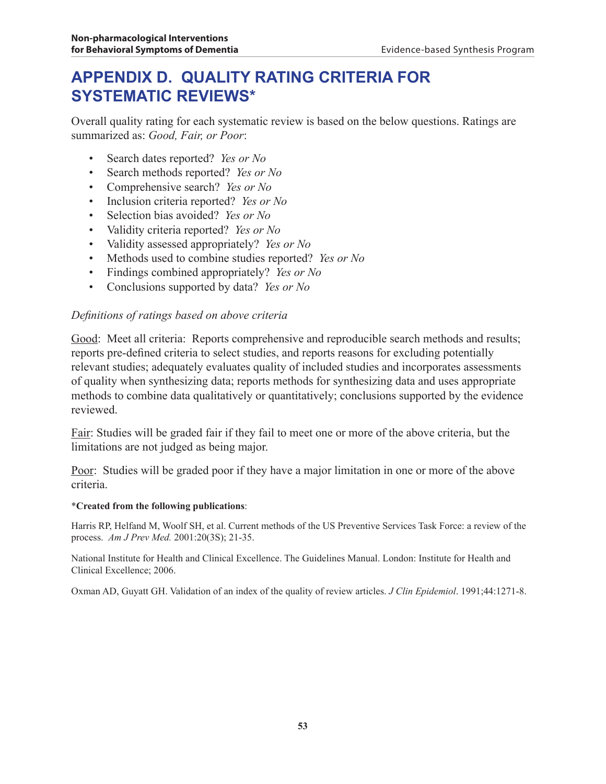## **APPENDIX D. QUALITY RATING CRITERIA FOR SYSTEMATIC REVIEWS\***

Overall quality rating for each systematic review is based on the below questions. Ratings are summarized as: *Good, Fair, or Poor*:

- Search dates reported? *Yes or No*
- Search methods reported? *Yes or No*
- Comprehensive search? *Yes or No*
- Inclusion criteria reported? *Yes or No*
- Selection bias avoided? *Yes or No*
- Validity criteria reported? *Yes or No*
- Validity assessed appropriately? *Yes or No*
- Methods used to combine studies reported? *Yes or No*
- Findings combined appropriately? *Yes or No*
- Conclusions supported by data? *Yes or No*

#### *Definitions of ratings based on above criteria*

Good: Meet all criteria: Reports comprehensive and reproducible search methods and results; reports pre-defined criteria to select studies, and reports reasons for excluding potentially relevant studies; adequately evaluates quality of included studies and incorporates assessments of quality when synthesizing data; reports methods for synthesizing data and uses appropriate methods to combine data qualitatively or quantitatively; conclusions supported by the evidence reviewed.

Fair: Studies will be graded fair if they fail to meet one or more of the above criteria, but the limitations are not judged as being major.

Poor: Studies will be graded poor if they have a major limitation in one or more of the above criteria.

#### \***Created from the following publications**:

Harris RP, Helfand M, Woolf SH, et al. Current methods of the US Preventive Services Task Force: a review of the process. *Am J Prev Med.* 2001:20(3S); 21-35.

National Institute for Health and Clinical Excellence. The Guidelines Manual. London: Institute for Health and Clinical Excellence; 2006.

Oxman AD, Guyatt GH. Validation of an index of the quality of review articles. *J Clin Epidemiol*. 1991;44:1271-8.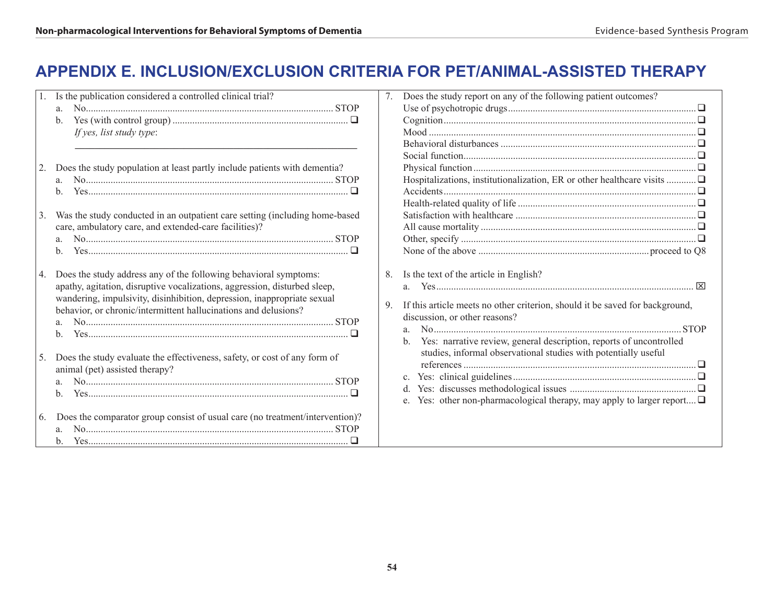## **APPENDIX E. Inclusion/Exclusion Criteria for Pet/Animal-assisted Therapy**

| Is the publication considered a controlled clinical trial?<br>a.<br>If yes, list study type:                                                                                                                                                                                                                                                                                                                                                                      | Does the study report on any of the following patient outcomes?<br>7.                                                                                                                                                                                                                                                                                                               |
|-------------------------------------------------------------------------------------------------------------------------------------------------------------------------------------------------------------------------------------------------------------------------------------------------------------------------------------------------------------------------------------------------------------------------------------------------------------------|-------------------------------------------------------------------------------------------------------------------------------------------------------------------------------------------------------------------------------------------------------------------------------------------------------------------------------------------------------------------------------------|
| Does the study population at least partly include patients with dementia?<br>a.<br>b.<br>Was the study conducted in an outpatient care setting (including home-based<br>3.<br>care, ambulatory care, and extended-care facilities)?<br>b.                                                                                                                                                                                                                         | Hospitalizations, institutionalization, ER or other healthcare visits                                                                                                                                                                                                                                                                                                               |
| Does the study address any of the following behavioral symptoms:<br>  4.<br>apathy, agitation, disruptive vocalizations, aggression, disturbed sleep,<br>wandering, impulsivity, disinhibition, depression, inappropriate sexual<br>behavior, or chronic/intermittent hallucinations and delusions?<br>$b_{\cdot}$<br>Does the study evaluate the effectiveness, safety, or cost of any form of<br>5.<br>animal (pet) assisted therapy?<br>$N$ <sup>0</sup><br>b. | Is the text of the article in English?<br>8.<br>If this article meets no other criterion, should it be saved for background,<br>9.<br>discussion, or other reasons?<br>Yes: narrative review, general description, reports of uncontrolled<br>studies, informal observational studies with potentially useful<br>Yes: other non-pharmacological therapy, may apply to larger report |
| Does the comparator group consist of usual care (no treatment/intervention)?<br>16.<br>$b_{-}$                                                                                                                                                                                                                                                                                                                                                                    |                                                                                                                                                                                                                                                                                                                                                                                     |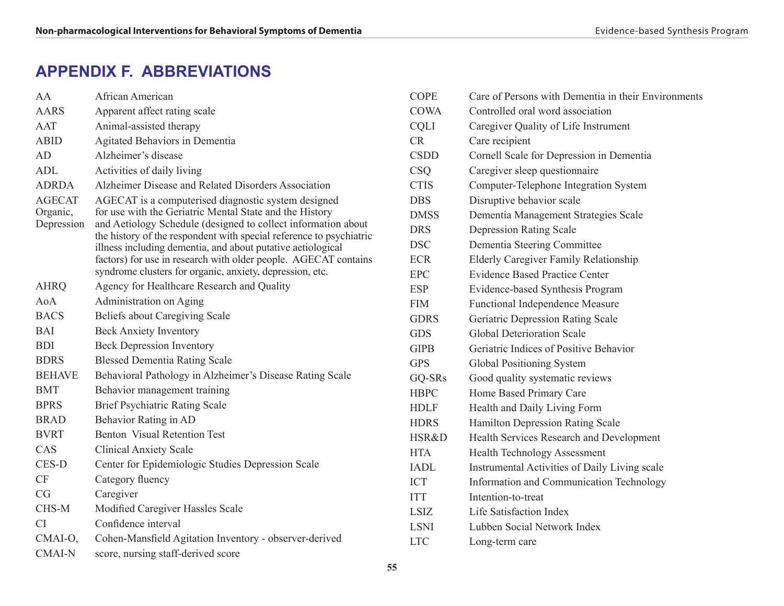# **APPENDIX F. ABBREVIATIONS**

| AA                                      | African American                                                                                                                                                                                                                                                                                                                                                                                                                                     |
|-----------------------------------------|------------------------------------------------------------------------------------------------------------------------------------------------------------------------------------------------------------------------------------------------------------------------------------------------------------------------------------------------------------------------------------------------------------------------------------------------------|
| <b>AARS</b>                             | Apparent affect rating scale                                                                                                                                                                                                                                                                                                                                                                                                                         |
| AAT                                     | Animal-assisted therapy                                                                                                                                                                                                                                                                                                                                                                                                                              |
| <b>ABID</b>                             | Agitated Behaviors in Dementia                                                                                                                                                                                                                                                                                                                                                                                                                       |
| AD                                      | Alzheimer's disease                                                                                                                                                                                                                                                                                                                                                                                                                                  |
| <b>ADL</b>                              | Activities of daily living                                                                                                                                                                                                                                                                                                                                                                                                                           |
| <b>ADRDA</b>                            | Alzheimer Disease and Related Disorders Association                                                                                                                                                                                                                                                                                                                                                                                                  |
| <b>AGECAT</b><br>Organic,<br>Depression | AGECAT is a computerised diagnostic system designed<br>for use with the Geriatric Mental State and the History<br>and Aetiology Schedule (designed to collect information about<br>the history of the respondent with special reference to psychiatric<br>illness including dementia, and about putative aetiological<br>factors) for use in research with older people. AGECAT contains<br>syndrome clusters for organic, anxiety, depression, etc. |
| <b>AHRQ</b>                             | Agency for Healthcare Research and Quality                                                                                                                                                                                                                                                                                                                                                                                                           |
| $A_0A$                                  | Administration on Aging                                                                                                                                                                                                                                                                                                                                                                                                                              |
| <b>BACS</b>                             | Beliefs about Caregiving Scale                                                                                                                                                                                                                                                                                                                                                                                                                       |
| <b>BAI</b>                              | <b>Beck Anxiety Inventory</b>                                                                                                                                                                                                                                                                                                                                                                                                                        |
| <b>BDI</b>                              | <b>Beck Depression Inventory</b>                                                                                                                                                                                                                                                                                                                                                                                                                     |
| <b>BDRS</b>                             | <b>Blessed Dementia Rating Scale</b>                                                                                                                                                                                                                                                                                                                                                                                                                 |
| <b>BEHAVE</b>                           | Behavioral Pathology in Alzheimer's Disease Rating Scale                                                                                                                                                                                                                                                                                                                                                                                             |
| <b>BMT</b>                              | Behavior management training                                                                                                                                                                                                                                                                                                                                                                                                                         |
| <b>BPRS</b>                             | <b>Brief Psychiatric Rating Scale</b>                                                                                                                                                                                                                                                                                                                                                                                                                |
| <b>BRAD</b>                             | Behavior Rating in AD                                                                                                                                                                                                                                                                                                                                                                                                                                |
| <b>BVRT</b>                             | <b>Benton Visual Retention Test</b>                                                                                                                                                                                                                                                                                                                                                                                                                  |
| CAS                                     | <b>Clinical Anxiety Scale</b>                                                                                                                                                                                                                                                                                                                                                                                                                        |
| CES-D                                   | Center for Epidemiologic Studies Depression Scale                                                                                                                                                                                                                                                                                                                                                                                                    |
| CF                                      | Category fluency                                                                                                                                                                                                                                                                                                                                                                                                                                     |
| CG                                      | Caregiver                                                                                                                                                                                                                                                                                                                                                                                                                                            |
| CHS-M                                   | Modified Caregiver Hassles Scale                                                                                                                                                                                                                                                                                                                                                                                                                     |
| <b>CI</b>                               | Confidence interval                                                                                                                                                                                                                                                                                                                                                                                                                                  |
| CMAI-O,                                 | Cohen-Mansfield Agitation Inventory - observer-derived                                                                                                                                                                                                                                                                                                                                                                                               |
| <b>CMAI-N</b>                           | score, nursing staff-derived score                                                                                                                                                                                                                                                                                                                                                                                                                   |

| <b>COPE</b> | Care of Persons with Dementia in their Environments |
|-------------|-----------------------------------------------------|
| <b>COWA</b> | Controlled oral word association                    |
| <b>CQLI</b> | Caregiver Quality of Life Instrument                |
| <b>CR</b>   | Care recipient                                      |
| <b>CSDD</b> | Cornell Scale for Depression in Dementia            |
| <b>CSO</b>  | Caregiver sleep questionnaire                       |
| <b>CTIS</b> | Computer-Telephone Integration System               |
| <b>DBS</b>  | Disruptive behavior scale                           |
| <b>DMSS</b> | Dementia Management Strategies Scale                |
| <b>DRS</b>  | <b>Depression Rating Scale</b>                      |
| <b>DSC</b>  | Dementia Steering Committee                         |
| <b>ECR</b>  | <b>Elderly Caregiver Family Relationship</b>        |
| <b>EPC</b>  | <b>Evidence Based Practice Center</b>               |
| <b>ESP</b>  | Evidence-based Synthesis Program                    |
| <b>FIM</b>  | <b>Functional Independence Measure</b>              |
| <b>GDRS</b> | Geriatric Depression Rating Scale                   |
| <b>GDS</b>  | <b>Global Deterioration Scale</b>                   |
| <b>GIPB</b> | Geriatric Indices of Positive Behavior              |
| <b>GPS</b>  | Global Positioning System                           |
| GQ-SRs      | Good quality systematic reviews                     |
| <b>HBPC</b> | Home Based Primary Care                             |
| <b>HDLF</b> | Health and Daily Living Form                        |
| <b>HDRS</b> | Hamilton Depression Rating Scale                    |
| HSR&D       | Health Services Research and Development            |
| <b>HTA</b>  | <b>Health Technology Assessment</b>                 |
| <b>IADL</b> | Instrumental Activities of Daily Living scale       |
| <b>ICT</b>  | Information and Communication Technology            |
| <b>ITT</b>  | Intention-to-treat                                  |
| LSIZ        | Life Satisfaction Index                             |
| <b>LSNI</b> | Lubben Social Network Index                         |
| <b>LTC</b>  | Long-term care                                      |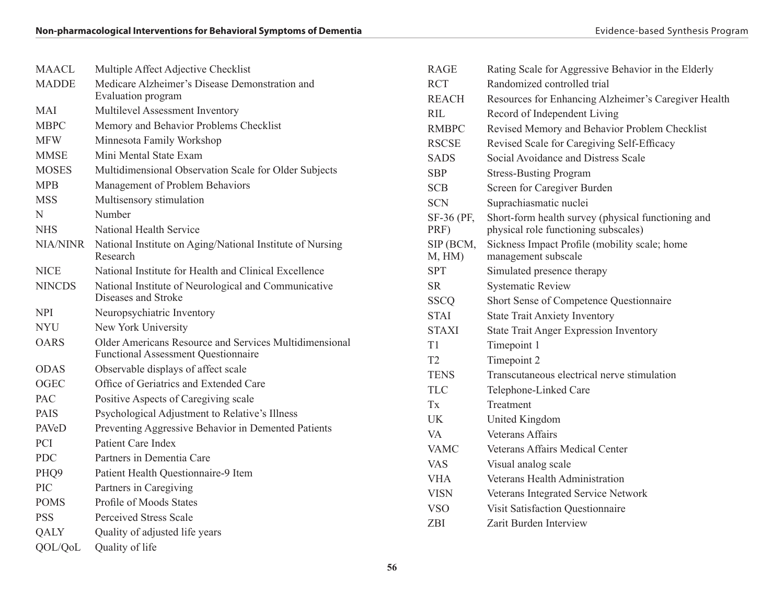| <b>MAACL</b>    | Multiple Affect Adjective Checklist                                                                         |
|-----------------|-------------------------------------------------------------------------------------------------------------|
| <b>MADDE</b>    | Medicare Alzheimer's Disease Demonstration and<br>Evaluation program                                        |
| <b>MAI</b>      | Multilevel Assessment Inventory                                                                             |
| <b>MBPC</b>     | Memory and Behavior Problems Checklist                                                                      |
| <b>MFW</b>      | Minnesota Family Workshop                                                                                   |
| <b>MMSE</b>     | Mini Mental State Exam                                                                                      |
| <b>MOSES</b>    | Multidimensional Observation Scale for Older Subjects                                                       |
| <b>MPB</b>      | Management of Problem Behaviors                                                                             |
| <b>MSS</b>      | Multisensory stimulation                                                                                    |
| N               | Number                                                                                                      |
| <b>NHS</b>      | National Health Service                                                                                     |
| <b>NIA/NINR</b> | National Institute on Aging/National Institute of Nursing<br>Research                                       |
| <b>NICE</b>     | National Institute for Health and Clinical Excellence                                                       |
| <b>NINCDS</b>   | National Institute of Neurological and Communicative<br>Diseases and Stroke                                 |
|                 |                                                                                                             |
| <b>NPI</b>      | Neuropsychiatric Inventory                                                                                  |
| <b>NYU</b>      | New York University                                                                                         |
| <b>OARS</b>     | <b>Older Americans Resource and Services Multidimensional</b><br><b>Functional Assessment Questionnaire</b> |
| <b>ODAS</b>     | Observable displays of affect scale                                                                         |
| <b>OGEC</b>     | Office of Geriatrics and Extended Care                                                                      |
| <b>PAC</b>      | Positive Aspects of Caregiving scale                                                                        |
| <b>PAIS</b>     | Psychological Adjustment to Relative's Illness                                                              |
| PAVeD           | Preventing Aggressive Behavior in Demented Patients                                                         |
| <b>PCI</b>      | Patient Care Index                                                                                          |
| <b>PDC</b>      | Partners in Dementia Care                                                                                   |
| PHQ9            | Patient Health Questionnaire-9 Item                                                                         |
| <b>PIC</b>      | Partners in Caregiving                                                                                      |
| <b>POMS</b>     | <b>Profile of Moods States</b>                                                                              |
| <b>PSS</b>      | <b>Perceived Stress Scale</b>                                                                               |

QOL/QoL Quality of life

| <b>RAGE</b>         | Rating Scale for Aggressive Behavior in the Elderly                                        |
|---------------------|--------------------------------------------------------------------------------------------|
| <b>RCT</b>          | Randomized controlled trial                                                                |
| <b>REACH</b>        | Resources for Enhancing Alzheimer's Caregiver Health                                       |
| RIL.                | Record of Independent Living                                                               |
| <b>RMBPC</b>        | Revised Memory and Behavior Problem Checklist                                              |
| <b>RSCSE</b>        | Revised Scale for Caregiving Self-Efficacy                                                 |
| <b>SADS</b>         | Social Avoidance and Distress Scale                                                        |
| <b>SBP</b>          | <b>Stress-Busting Program</b>                                                              |
| <b>SCB</b>          | Screen for Caregiver Burden                                                                |
| <b>SCN</b>          | Suprachiasmatic nuclei                                                                     |
| SF-36 (PF,<br>PRF)  | Short-form health survey (physical functioning and<br>physical role functioning subscales) |
| SIP (BCM,<br>M, HM) | Sickness Impact Profile (mobility scale; home<br>management subscale                       |
| <b>SPT</b>          | Simulated presence therapy                                                                 |
| <b>SR</b>           | <b>Systematic Review</b>                                                                   |
| <b>SSCQ</b>         | Short Sense of Competence Questionnaire                                                    |
| <b>STAI</b>         | <b>State Trait Anxiety Inventory</b>                                                       |
| <b>STAXI</b>        | <b>State Trait Anger Expression Inventory</b>                                              |
| T1                  | Timepoint 1                                                                                |
| T <sub>2</sub>      | Timepoint 2                                                                                |
| <b>TENS</b>         | Transcutaneous electrical nerve stimulation                                                |
| <b>TLC</b>          | Telephone-Linked Care                                                                      |
| Tx                  | Treatment                                                                                  |
| UK                  | United Kingdom                                                                             |
| VA                  | <b>Veterans Affairs</b>                                                                    |
| <b>VAMC</b>         | <b>Veterans Affairs Medical Center</b>                                                     |
| VAS                 | Visual analog scale                                                                        |
| VHA.                | Veterans Health Administration                                                             |
| <b>VISN</b>         | Veterans Integrated Service Network                                                        |
| <b>VSO</b>          | Visit Satisfaction Questionnaire                                                           |
| <b>ZBI</b>          | Zarit Burden Interview                                                                     |
|                     |                                                                                            |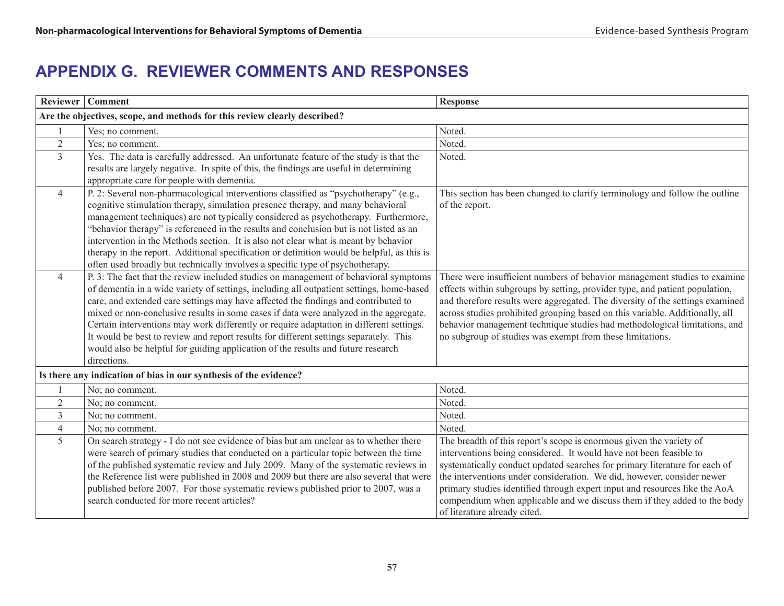# **APPENDIX G. REVIEWER COMMENTS AND RESPONSES**

|                                                                           | Reviewer   Comment                                                                                                                                                                                                                                                                                                                                                                                                                                                                                                                                                                                                                                     | Response                                                                                                                                                                                                                                                                                                                                                                                                                                                                                    |
|---------------------------------------------------------------------------|--------------------------------------------------------------------------------------------------------------------------------------------------------------------------------------------------------------------------------------------------------------------------------------------------------------------------------------------------------------------------------------------------------------------------------------------------------------------------------------------------------------------------------------------------------------------------------------------------------------------------------------------------------|---------------------------------------------------------------------------------------------------------------------------------------------------------------------------------------------------------------------------------------------------------------------------------------------------------------------------------------------------------------------------------------------------------------------------------------------------------------------------------------------|
| Are the objectives, scope, and methods for this review clearly described? |                                                                                                                                                                                                                                                                                                                                                                                                                                                                                                                                                                                                                                                        |                                                                                                                                                                                                                                                                                                                                                                                                                                                                                             |
|                                                                           | Yes; no comment.                                                                                                                                                                                                                                                                                                                                                                                                                                                                                                                                                                                                                                       | Noted.                                                                                                                                                                                                                                                                                                                                                                                                                                                                                      |
| $\overline{2}$                                                            | Yes; no comment.                                                                                                                                                                                                                                                                                                                                                                                                                                                                                                                                                                                                                                       | Noted.                                                                                                                                                                                                                                                                                                                                                                                                                                                                                      |
| $\overline{3}$                                                            | Yes. The data is carefully addressed. An unfortunate feature of the study is that the<br>results are largely negative. In spite of this, the findings are useful in determining<br>appropriate care for people with dementia.                                                                                                                                                                                                                                                                                                                                                                                                                          | Noted.                                                                                                                                                                                                                                                                                                                                                                                                                                                                                      |
| $\overline{4}$                                                            | P. 2: Several non-pharmacological interventions classified as "psychotherapy" (e.g.,<br>cognitive stimulation therapy, simulation presence therapy, and many behavioral<br>management techniques) are not typically considered as psychotherapy. Furthermore,<br>"behavior therapy" is referenced in the results and conclusion but is not listed as an<br>intervention in the Methods section. It is also not clear what is meant by behavior<br>therapy in the report. Additional specification or definition would be helpful, as this is<br>often used broadly but technically involves a specific type of psychotherapy.                          | This section has been changed to clarify terminology and follow the outline<br>of the report.                                                                                                                                                                                                                                                                                                                                                                                               |
| $\overline{4}$                                                            | P. 3: The fact that the review included studies on management of behavioral symptoms<br>of dementia in a wide variety of settings, including all outpatient settings, home-based<br>care, and extended care settings may have affected the findings and contributed to<br>mixed or non-conclusive results in some cases if data were analyzed in the aggregate.<br>Certain interventions may work differently or require adaptation in different settings.<br>It would be best to review and report results for different settings separately. This<br>would also be helpful for guiding application of the results and future research<br>directions. | There were insufficient numbers of behavior management studies to examine<br>effects within subgroups by setting, provider type, and patient population,<br>and therefore results were aggregated. The diversity of the settings examined<br>across studies prohibited grouping based on this variable. Additionally, all<br>behavior management technique studies had methodological limitations, and<br>no subgroup of studies was exempt from these limitations.                         |
|                                                                           | Is there any indication of bias in our synthesis of the evidence?                                                                                                                                                                                                                                                                                                                                                                                                                                                                                                                                                                                      |                                                                                                                                                                                                                                                                                                                                                                                                                                                                                             |
|                                                                           | No; no comment.                                                                                                                                                                                                                                                                                                                                                                                                                                                                                                                                                                                                                                        | Noted.                                                                                                                                                                                                                                                                                                                                                                                                                                                                                      |
| $\overline{2}$                                                            | No; no comment.                                                                                                                                                                                                                                                                                                                                                                                                                                                                                                                                                                                                                                        | Noted.                                                                                                                                                                                                                                                                                                                                                                                                                                                                                      |
| $\overline{3}$                                                            | No; no comment.                                                                                                                                                                                                                                                                                                                                                                                                                                                                                                                                                                                                                                        | Noted.                                                                                                                                                                                                                                                                                                                                                                                                                                                                                      |
| $\overline{4}$                                                            | No; no comment.                                                                                                                                                                                                                                                                                                                                                                                                                                                                                                                                                                                                                                        | Noted.                                                                                                                                                                                                                                                                                                                                                                                                                                                                                      |
| 5                                                                         | On search strategy - I do not see evidence of bias but am unclear as to whether there<br>were search of primary studies that conducted on a particular topic between the time<br>of the published systematic review and July 2009. Many of the systematic reviews in<br>the Reference list were published in 2008 and 2009 but there are also several that were<br>published before 2007. For those systematic reviews published prior to 2007, was a<br>search conducted for more recent articles?                                                                                                                                                    | The breadth of this report's scope is enormous given the variety of<br>interventions being considered. It would have not been feasible to<br>systematically conduct updated searches for primary literature for each of<br>the interventions under consideration. We did, however, consider newer<br>primary studies identified through expert input and resources like the AoA<br>compendium when applicable and we discuss them if they added to the body<br>of literature already cited. |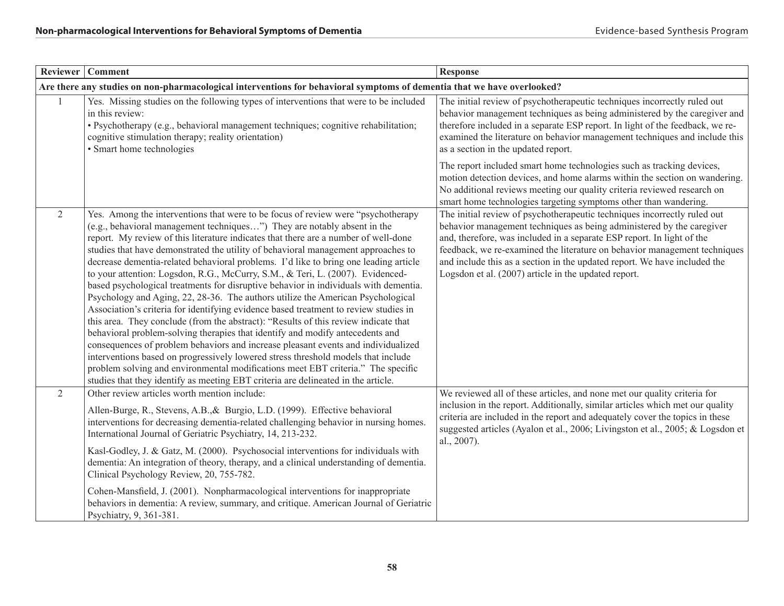|                | Reviewer   Comment                                                                                                                                                                                                                                                                                                                                                                                                                                                                                                                                                                                                                                                                                                                                                                                                                                                                                                                                                                                                                                                                                                                                                                                                                                                                                                | <b>Response</b>                                                                                                                                                                                                                                                                                                                                                                                                                               |
|----------------|-------------------------------------------------------------------------------------------------------------------------------------------------------------------------------------------------------------------------------------------------------------------------------------------------------------------------------------------------------------------------------------------------------------------------------------------------------------------------------------------------------------------------------------------------------------------------------------------------------------------------------------------------------------------------------------------------------------------------------------------------------------------------------------------------------------------------------------------------------------------------------------------------------------------------------------------------------------------------------------------------------------------------------------------------------------------------------------------------------------------------------------------------------------------------------------------------------------------------------------------------------------------------------------------------------------------|-----------------------------------------------------------------------------------------------------------------------------------------------------------------------------------------------------------------------------------------------------------------------------------------------------------------------------------------------------------------------------------------------------------------------------------------------|
|                | Are there any studies on non-pharmacological interventions for behavioral symptoms of dementia that we have overlooked?                                                                                                                                                                                                                                                                                                                                                                                                                                                                                                                                                                                                                                                                                                                                                                                                                                                                                                                                                                                                                                                                                                                                                                                           |                                                                                                                                                                                                                                                                                                                                                                                                                                               |
|                | Yes. Missing studies on the following types of interventions that were to be included<br>in this review:<br>· Psychotherapy (e.g., behavioral management techniques; cognitive rehabilitation;<br>cognitive stimulation therapy; reality orientation)<br>• Smart home technologies                                                                                                                                                                                                                                                                                                                                                                                                                                                                                                                                                                                                                                                                                                                                                                                                                                                                                                                                                                                                                                | The initial review of psychotherapeutic techniques incorrectly ruled out<br>behavior management techniques as being administered by the caregiver and<br>therefore included in a separate ESP report. In light of the feedback, we re-<br>examined the literature on behavior management techniques and include this<br>as a section in the updated report.                                                                                   |
|                |                                                                                                                                                                                                                                                                                                                                                                                                                                                                                                                                                                                                                                                                                                                                                                                                                                                                                                                                                                                                                                                                                                                                                                                                                                                                                                                   | The report included smart home technologies such as tracking devices,<br>motion detection devices, and home alarms within the section on wandering.<br>No additional reviews meeting our quality criteria reviewed research on<br>smart home technologies targeting symptoms other than wandering.                                                                                                                                            |
| 2              | Yes. Among the interventions that were to be focus of review were "psychotherapy"<br>(e.g., behavioral management techniques") They are notably absent in the<br>report. My review of this literature indicates that there are a number of well-done<br>studies that have demonstrated the utility of behavioral management approaches to<br>decrease dementia-related behavioral problems. I'd like to bring one leading article<br>to your attention: Logsdon, R.G., McCurry, S.M., & Teri, L. (2007). Evidenced-<br>based psychological treatments for disruptive behavior in individuals with dementia.<br>Psychology and Aging, 22, 28-36. The authors utilize the American Psychological<br>Association's criteria for identifying evidence based treatment to review studies in<br>this area. They conclude (from the abstract): "Results of this review indicate that<br>behavioral problem-solving therapies that identify and modify antecedents and<br>consequences of problem behaviors and increase pleasant events and individualized<br>interventions based on progressively lowered stress threshold models that include<br>problem solving and environmental modifications meet EBT criteria." The specific<br>studies that they identify as meeting EBT criteria are delineated in the article. | The initial review of psychotherapeutic techniques incorrectly ruled out<br>behavior management techniques as being administered by the caregiver<br>and, therefore, was included in a separate ESP report. In light of the<br>feedback, we re-examined the literature on behavior management techniques<br>and include this as a section in the updated report. We have included the<br>Logsdon et al. (2007) article in the updated report. |
| $\overline{2}$ | Other review articles worth mention include:<br>Allen-Burge, R., Stevens, A.B., & Burgio, L.D. (1999). Effective behavioral<br>interventions for decreasing dementia-related challenging behavior in nursing homes.<br>International Journal of Geriatric Psychiatry, 14, 213-232.<br>Kasl-Godley, J. & Gatz, M. (2000). Psychosocial interventions for individuals with<br>dementia: An integration of theory, therapy, and a clinical understanding of dementia.<br>Clinical Psychology Review, 20, 755-782.<br>Cohen-Mansfield, J. (2001). Nonpharmacological interventions for inappropriate<br>behaviors in dementia: A review, summary, and critique. American Journal of Geriatric<br>Psychiatry, 9, 361-381.                                                                                                                                                                                                                                                                                                                                                                                                                                                                                                                                                                                              | We reviewed all of these articles, and none met our quality criteria for<br>inclusion in the report. Additionally, similar articles which met our quality<br>criteria are included in the report and adequately cover the topics in these<br>suggested articles (Ayalon et al., 2006; Livingston et al., 2005; & Logsdon et<br>al., 2007).                                                                                                    |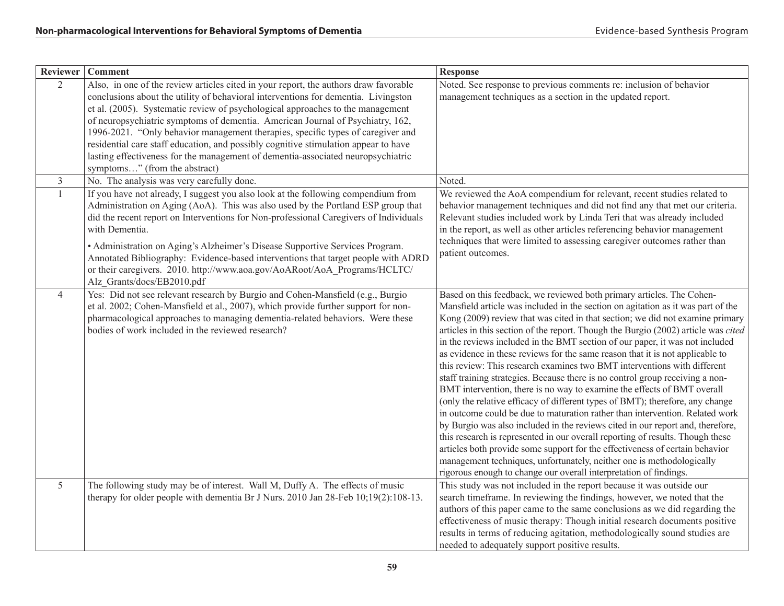| Reviewer       | <b>Comment</b>                                                                                                                                                                                                                                                                                                                                                                                                                                                                                                                                                                                                                                | <b>Response</b>                                                                                                                                                                                                                                                                                                                                                                                                                                                                                                                                                                                                                                                                                                                                                                                                                                                                                                                                                                                                                                                                                                                                                                                                                                                                                              |
|----------------|-----------------------------------------------------------------------------------------------------------------------------------------------------------------------------------------------------------------------------------------------------------------------------------------------------------------------------------------------------------------------------------------------------------------------------------------------------------------------------------------------------------------------------------------------------------------------------------------------------------------------------------------------|--------------------------------------------------------------------------------------------------------------------------------------------------------------------------------------------------------------------------------------------------------------------------------------------------------------------------------------------------------------------------------------------------------------------------------------------------------------------------------------------------------------------------------------------------------------------------------------------------------------------------------------------------------------------------------------------------------------------------------------------------------------------------------------------------------------------------------------------------------------------------------------------------------------------------------------------------------------------------------------------------------------------------------------------------------------------------------------------------------------------------------------------------------------------------------------------------------------------------------------------------------------------------------------------------------------|
| $\overline{2}$ | Also, in one of the review articles cited in your report, the authors draw favorable<br>conclusions about the utility of behavioral interventions for dementia. Livingston<br>et al. (2005). Systematic review of psychological approaches to the management<br>of neuropsychiatric symptoms of dementia. American Journal of Psychiatry, 162,<br>1996-2021. "Only behavior management therapies, specific types of caregiver and<br>residential care staff education, and possibly cognitive stimulation appear to have<br>lasting effectiveness for the management of dementia-associated neuropsychiatric<br>symptoms" (from the abstract) | Noted. See response to previous comments re: inclusion of behavior<br>management techniques as a section in the updated report.                                                                                                                                                                                                                                                                                                                                                                                                                                                                                                                                                                                                                                                                                                                                                                                                                                                                                                                                                                                                                                                                                                                                                                              |
| $\overline{3}$ | No. The analysis was very carefully done.                                                                                                                                                                                                                                                                                                                                                                                                                                                                                                                                                                                                     | Noted.                                                                                                                                                                                                                                                                                                                                                                                                                                                                                                                                                                                                                                                                                                                                                                                                                                                                                                                                                                                                                                                                                                                                                                                                                                                                                                       |
| $\mathbf{1}$   | If you have not already, I suggest you also look at the following compendium from<br>Administration on Aging (AoA). This was also used by the Portland ESP group that<br>did the recent report on Interventions for Non-professional Caregivers of Individuals<br>with Dementia.<br>• Administration on Aging's Alzheimer's Disease Supportive Services Program.<br>Annotated Bibliography: Evidence-based interventions that target people with ADRD<br>or their caregivers. 2010. http://www.aoa.gov/AoARoot/AoA_Programs/HCLTC/<br>Alz Grants/docs/EB2010.pdf                                                                              | We reviewed the AoA compendium for relevant, recent studies related to<br>behavior management techniques and did not find any that met our criteria.<br>Relevant studies included work by Linda Teri that was already included<br>in the report, as well as other articles referencing behavior management<br>techniques that were limited to assessing caregiver outcomes rather than<br>patient outcomes.                                                                                                                                                                                                                                                                                                                                                                                                                                                                                                                                                                                                                                                                                                                                                                                                                                                                                                  |
| $\overline{4}$ | Yes: Did not see relevant research by Burgio and Cohen-Mansfield (e.g., Burgio<br>et al. 2002; Cohen-Mansfield et al., 2007), which provide further support for non-<br>pharmacological approaches to managing dementia-related behaviors. Were these<br>bodies of work included in the reviewed research?                                                                                                                                                                                                                                                                                                                                    | Based on this feedback, we reviewed both primary articles. The Cohen-<br>Mansfield article was included in the section on agitation as it was part of the<br>Kong (2009) review that was cited in that section; we did not examine primary<br>articles in this section of the report. Though the Burgio (2002) article was cited<br>in the reviews included in the BMT section of our paper, it was not included<br>as evidence in these reviews for the same reason that it is not applicable to<br>this review: This research examines two BMT interventions with different<br>staff training strategies. Because there is no control group receiving a non-<br>BMT intervention, there is no way to examine the effects of BMT overall<br>(only the relative efficacy of different types of BMT); therefore, any change<br>in outcome could be due to maturation rather than intervention. Related work<br>by Burgio was also included in the reviews cited in our report and, therefore,<br>this research is represented in our overall reporting of results. Though these<br>articles both provide some support for the effectiveness of certain behavior<br>management techniques, unfortunately, neither one is methodologically<br>rigorous enough to change our overall interpretation of findings. |
| 5              | The following study may be of interest. Wall M, Duffy A. The effects of music<br>therapy for older people with dementia Br J Nurs. 2010 Jan 28-Feb 10;19(2):108-13.                                                                                                                                                                                                                                                                                                                                                                                                                                                                           | This study was not included in the report because it was outside our<br>search timeframe. In reviewing the findings, however, we noted that the<br>authors of this paper came to the same conclusions as we did regarding the<br>effectiveness of music therapy: Though initial research documents positive<br>results in terms of reducing agitation, methodologically sound studies are<br>needed to adequately support positive results.                                                                                                                                                                                                                                                                                                                                                                                                                                                                                                                                                                                                                                                                                                                                                                                                                                                                  |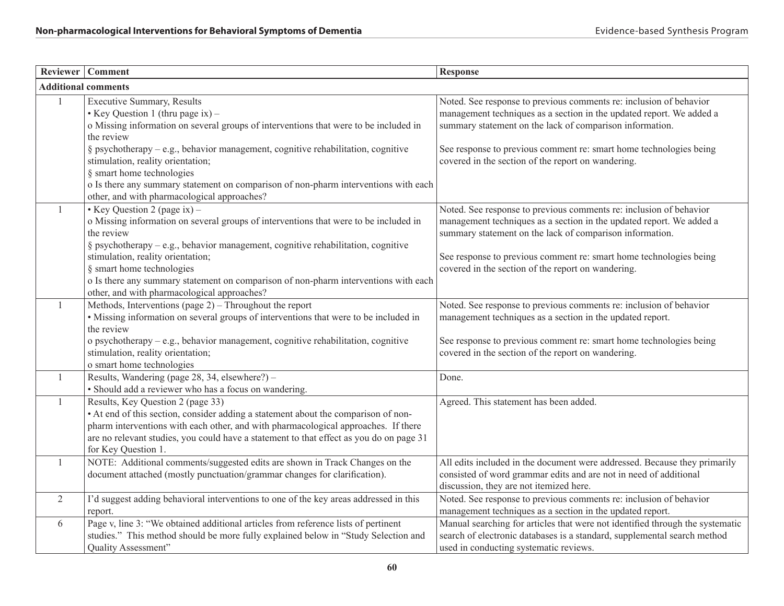|              | Reviewer   Comment                                                                                                                                                                                                                                                                                                                                                                                                                | <b>Response</b>                                                                                                                                                                                                                                                                                                                    |
|--------------|-----------------------------------------------------------------------------------------------------------------------------------------------------------------------------------------------------------------------------------------------------------------------------------------------------------------------------------------------------------------------------------------------------------------------------------|------------------------------------------------------------------------------------------------------------------------------------------------------------------------------------------------------------------------------------------------------------------------------------------------------------------------------------|
|              | <b>Additional comments</b>                                                                                                                                                                                                                                                                                                                                                                                                        |                                                                                                                                                                                                                                                                                                                                    |
| $\mathbf{1}$ | <b>Executive Summary, Results</b><br>• Key Question 1 (thru page ix) –<br>o Missing information on several groups of interventions that were to be included in<br>the review<br>§ psychotherapy - e.g., behavior management, cognitive rehabilitation, cognitive<br>stimulation, reality orientation;                                                                                                                             | Noted. See response to previous comments re: inclusion of behavior<br>management techniques as a section in the updated report. We added a<br>summary statement on the lack of comparison information.<br>See response to previous comment re: smart home technologies being<br>covered in the section of the report on wandering. |
|              | § smart home technologies<br>o Is there any summary statement on comparison of non-pharm interventions with each<br>other, and with pharmacological approaches?                                                                                                                                                                                                                                                                   |                                                                                                                                                                                                                                                                                                                                    |
| -1           | • Key Question 2 (page ix) –<br>o Missing information on several groups of interventions that were to be included in<br>the review<br>$\S$ psychotherapy – e.g., behavior management, cognitive rehabilitation, cognitive<br>stimulation, reality orientation;<br>§ smart home technologies<br>o Is there any summary statement on comparison of non-pharm interventions with each<br>other, and with pharmacological approaches? | Noted. See response to previous comments re: inclusion of behavior<br>management techniques as a section in the updated report. We added a<br>summary statement on the lack of comparison information.<br>See response to previous comment re: smart home technologies being<br>covered in the section of the report on wandering. |
| 1            | Methods, Interventions (page $2$ ) – Throughout the report<br>• Missing information on several groups of interventions that were to be included in<br>the review<br>o psychotherapy - e.g., behavior management, cognitive rehabilitation, cognitive<br>stimulation, reality orientation;<br>o smart home technologies                                                                                                            | Noted. See response to previous comments re: inclusion of behavior<br>management techniques as a section in the updated report.<br>See response to previous comment re: smart home technologies being<br>covered in the section of the report on wandering.                                                                        |
| -1           | Results, Wandering (page 28, 34, elsewhere?) -<br>· Should add a reviewer who has a focus on wandering.                                                                                                                                                                                                                                                                                                                           | Done.                                                                                                                                                                                                                                                                                                                              |
| -1           | Results, Key Question 2 (page 33)<br>• At end of this section, consider adding a statement about the comparison of non-<br>pharm interventions with each other, and with pharmacological approaches. If there<br>are no relevant studies, you could have a statement to that effect as you do on page 31<br>for Key Question 1.                                                                                                   | Agreed. This statement has been added.                                                                                                                                                                                                                                                                                             |
| 1            | NOTE: Additional comments/suggested edits are shown in Track Changes on the<br>document attached (mostly punctuation/grammar changes for clarification).                                                                                                                                                                                                                                                                          | All edits included in the document were addressed. Because they primarily<br>consisted of word grammar edits and are not in need of additional<br>discussion, they are not itemized here.                                                                                                                                          |
| 2            | I'd suggest adding behavioral interventions to one of the key areas addressed in this<br>report.                                                                                                                                                                                                                                                                                                                                  | Noted. See response to previous comments re: inclusion of behavior<br>management techniques as a section in the updated report.                                                                                                                                                                                                    |
| 6            | Page v, line 3: "We obtained additional articles from reference lists of pertinent<br>studies." This method should be more fully explained below in "Study Selection and<br>Quality Assessment"                                                                                                                                                                                                                                   | Manual searching for articles that were not identified through the systematic<br>search of electronic databases is a standard, supplemental search method<br>used in conducting systematic reviews.                                                                                                                                |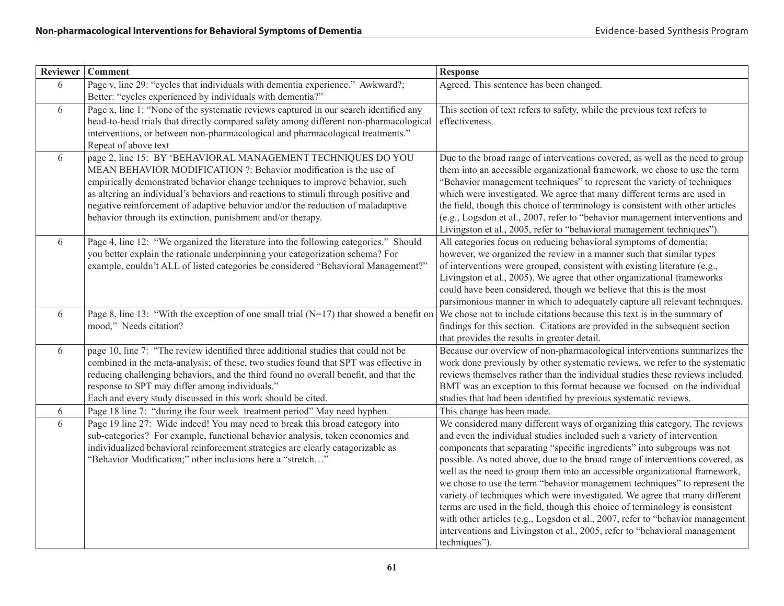| Reviewer | <b>Comment</b>                                                                                                                                                                                                                                                                                                                                                                                                                                              | <b>Response</b>                                                                                                                                                                                                                                                                                                                                                                                                                                                                                                                                                                                                                                                                                                                                                                                                                 |
|----------|-------------------------------------------------------------------------------------------------------------------------------------------------------------------------------------------------------------------------------------------------------------------------------------------------------------------------------------------------------------------------------------------------------------------------------------------------------------|---------------------------------------------------------------------------------------------------------------------------------------------------------------------------------------------------------------------------------------------------------------------------------------------------------------------------------------------------------------------------------------------------------------------------------------------------------------------------------------------------------------------------------------------------------------------------------------------------------------------------------------------------------------------------------------------------------------------------------------------------------------------------------------------------------------------------------|
| 6        | Page v, line 29: "cycles that individuals with dementia experience." Awkward?;<br>Better: "cycles experienced by individuals with dementia?"                                                                                                                                                                                                                                                                                                                | Agreed. This sentence has been changed.                                                                                                                                                                                                                                                                                                                                                                                                                                                                                                                                                                                                                                                                                                                                                                                         |
| 6        | Page x, line 1: "None of the systematic reviews captured in our search identified any<br>head-to-head trials that directly compared safety among different non-pharmacological<br>interventions, or between non-pharmacological and pharmacological treatments."<br>Repeat of above text                                                                                                                                                                    | This section of text refers to safety, while the previous text refers to<br>effectiveness.                                                                                                                                                                                                                                                                                                                                                                                                                                                                                                                                                                                                                                                                                                                                      |
| 6        | page 2, line 15: BY 'BEHAVIORAL MANAGEMENT TECHNIQUES DO YOU<br>MEAN BEHAVIOR MODIFICATION ?: Behavior modification is the use of<br>empirically demonstrated behavior change techniques to improve behavior, such<br>as altering an individual's behaviors and reactions to stimuli through positive and<br>negative reinforcement of adaptive behavior and/or the reduction of maladaptive<br>behavior through its extinction, punishment and/or therapy. | Due to the broad range of interventions covered, as well as the need to group<br>them into an accessible organizational framework, we chose to use the term<br>"Behavior management techniques" to represent the variety of techniques<br>which were investigated. We agree that many different terms are used in<br>the field, though this choice of terminology is consistent with other articles<br>(e.g., Logsdon et al., 2007, refer to "behavior management interventions and<br>Livingston et al., 2005, refer to "behavioral management techniques").                                                                                                                                                                                                                                                                   |
| 6        | Page 4, line 12: "We organized the literature into the following categories." Should<br>you better explain the rationale underpinning your categorization schema? For<br>example, couldn't ALL of listed categories be considered "Behavioral Management?"                                                                                                                                                                                                  | All categories focus on reducing behavioral symptoms of dementia;<br>however, we organized the review in a manner such that similar types<br>of interventions were grouped, consistent with existing literature (e.g.,<br>Livingston et al., 2005). We agree that other organizational frameworks<br>could have been considered, though we believe that this is the most<br>parsimonious manner in which to adequately capture all relevant techniques.                                                                                                                                                                                                                                                                                                                                                                         |
| 6        | Page 8, line 13: "With the exception of one small trial $(N=17)$ that showed a benefit on<br>mood," Needs citation?                                                                                                                                                                                                                                                                                                                                         | We chose not to include citations because this text is in the summary of<br>findings for this section. Citations are provided in the subsequent section<br>that provides the results in greater detail.                                                                                                                                                                                                                                                                                                                                                                                                                                                                                                                                                                                                                         |
| 6        | page 10, line 7: "The review identified three additional studies that could not be<br>combined in the meta-analysis; of these, two studies found that SPT was effective in<br>reducing challenging behaviors, and the third found no overall benefit, and that the<br>response to SPT may differ among individuals."<br>Each and every study discussed in this work should be cited.                                                                        | Because our overview of non-pharmacological interventions summarizes the<br>work done previously by other systematic reviews, we refer to the systematic<br>reviews themselves rather than the individual studies these reviews included.<br>BMT was an exception to this format because we focused on the individual<br>studies that had been identified by previous systematic reviews.                                                                                                                                                                                                                                                                                                                                                                                                                                       |
| 6        | Page 18 line 7: "during the four week treatment period" May need hyphen.                                                                                                                                                                                                                                                                                                                                                                                    | This change has been made.                                                                                                                                                                                                                                                                                                                                                                                                                                                                                                                                                                                                                                                                                                                                                                                                      |
| 6        | Page 19 line 27: Wide indeed! You may need to break this broad category into<br>sub-categories? For example, functional behavior analysis, token economies and<br>individualized behavioral reinforcement strategies are clearly catagorizable as<br>"Behavior Modification;" other inclusions here a "stretch"                                                                                                                                             | We considered many different ways of organizing this category. The reviews<br>and even the individual studies included such a variety of intervention<br>components that separating "specific ingredients" into subgroups was not<br>possible. As noted above, due to the broad range of interventions covered, as<br>well as the need to group them into an accessible organizational framework,<br>we chose to use the term "behavior management techniques" to represent the<br>variety of techniques which were investigated. We agree that many different<br>terms are used in the field, though this choice of terminology is consistent<br>with other articles (e.g., Logsdon et al., 2007, refer to "behavior management<br>interventions and Livingston et al., 2005, refer to "behavioral management<br>techniques"). |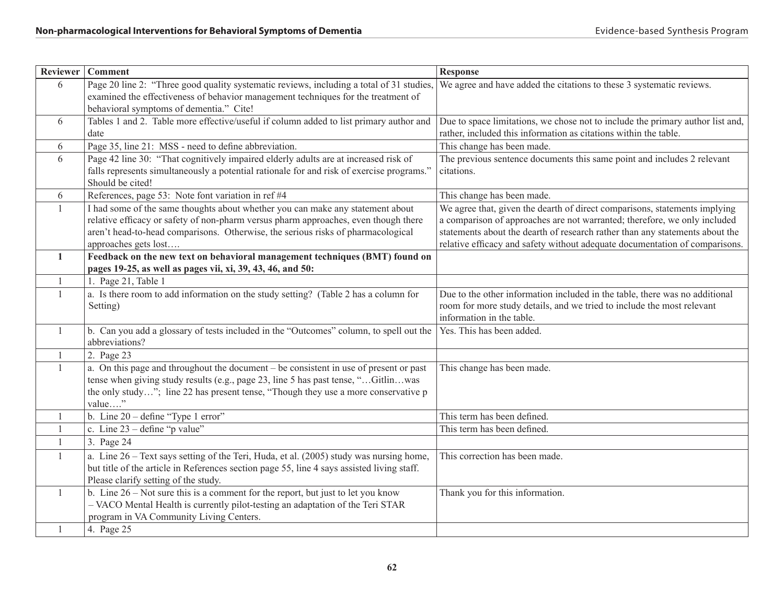| Reviewer     | Comment                                                                                                  | <b>Response</b>                                                                |
|--------------|----------------------------------------------------------------------------------------------------------|--------------------------------------------------------------------------------|
| 6            | Page 20 line 2: "Three good quality systematic reviews, including a total of 31 studies,                 | We agree and have added the citations to these 3 systematic reviews.           |
|              | examined the effectiveness of behavior management techniques for the treatment of                        |                                                                                |
|              | behavioral symptoms of dementia." Cite!                                                                  |                                                                                |
| 6            | Tables 1 and 2. Table more effective/useful if column added to list primary author and                   | Due to space limitations, we chose not to include the primary author list and, |
|              | date                                                                                                     | rather, included this information as citations within the table.               |
| 6            | Page 35, line 21: MSS - need to define abbreviation.                                                     | This change has been made.                                                     |
| 6            | Page 42 line 30: "That cognitively impaired elderly adults are at increased risk of                      | The previous sentence documents this same point and includes 2 relevant        |
|              | falls represents simultaneously a potential rationale for and risk of exercise programs."                | citations.                                                                     |
|              | Should be cited!                                                                                         |                                                                                |
| 6            | References, page 53: Note font variation in ref #4                                                       | This change has been made.                                                     |
| -1           | I had some of the same thoughts about whether you can make any statement about                           | We agree that, given the dearth of direct comparisons, statements implying     |
|              | relative efficacy or safety of non-pharm versus pharm approaches, even though there                      | a comparison of approaches are not warranted; therefore, we only included      |
|              | aren't head-to-head comparisons. Otherwise, the serious risks of pharmacological                         | statements about the dearth of research rather than any statements about the   |
|              | approaches gets lost                                                                                     | relative efficacy and safety without adequate documentation of comparisons.    |
| $\mathbf{1}$ | Feedback on the new text on behavioral management techniques (BMT) found on                              |                                                                                |
|              | pages 19-25, as well as pages vii, xi, 39, 43, 46, and 50:                                               |                                                                                |
| -1           | 1. Page 21, Table 1                                                                                      |                                                                                |
| -1           | a. Is there room to add information on the study setting? (Table 2 has a column for                      | Due to the other information included in the table, there was no additional    |
|              | Setting)                                                                                                 | room for more study details, and we tried to include the most relevant         |
|              |                                                                                                          | information in the table.                                                      |
| $\mathbf{1}$ | b. Can you add a glossary of tests included in the "Outcomes" column, to spell out the<br>abbreviations? | Yes. This has been added.                                                      |
| -1           | 2. Page 23                                                                                               |                                                                                |
| 1            | a. On this page and throughout the document – be consistent in use of present or past                    | This change has been made.                                                     |
|              | tense when giving study results (e.g., page 23, line 5 has past tense, "Gitlinwas                        |                                                                                |
|              | the only study"; line 22 has present tense, "Though they use a more conservative p                       |                                                                                |
|              | value"                                                                                                   |                                                                                |
| 1            | b. Line $20 - \text{define "Type 1 error"}$                                                              | This term has been defined.                                                    |
| $\mathbf{1}$ | c. Line $23$ – define "p value"                                                                          | This term has been defined.                                                    |
| -1           | 3. Page 24                                                                                               |                                                                                |
| 1            | a. Line 26 – Text says setting of the Teri, Huda, et al. (2005) study was nursing home,                  | This correction has been made.                                                 |
|              | but title of the article in References section page 55, line 4 says assisted living staff.               |                                                                                |
|              | Please clarify setting of the study.                                                                     |                                                                                |
| $\mathbf{1}$ | b. Line $26 - Not$ sure this is a comment for the report, but just to let you know                       | Thank you for this information.                                                |
|              | - VACO Mental Health is currently pilot-testing an adaptation of the Teri STAR                           |                                                                                |
|              | program in VA Community Living Centers.                                                                  |                                                                                |
| 1            | 4. Page 25                                                                                               |                                                                                |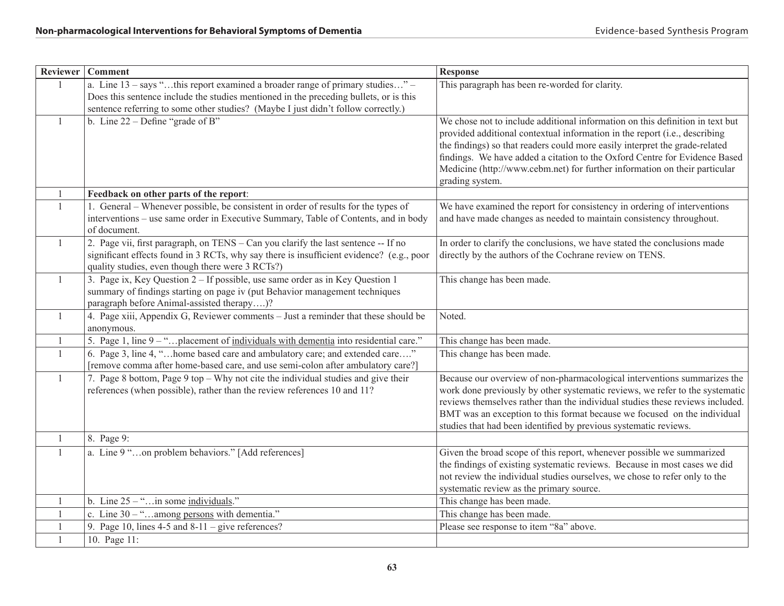|                | Reviewer   Comment                                                                                                                                                                                                                                            | <b>Response</b>                                                                                                                                                                                                                                                                                                                                                                                                           |
|----------------|---------------------------------------------------------------------------------------------------------------------------------------------------------------------------------------------------------------------------------------------------------------|---------------------------------------------------------------------------------------------------------------------------------------------------------------------------------------------------------------------------------------------------------------------------------------------------------------------------------------------------------------------------------------------------------------------------|
| $\overline{1}$ | a. Line $13 - says$ "this report examined a broader range of primary studies" -<br>Does this sentence include the studies mentioned in the preceding bullets, or is this<br>sentence referring to some other studies? (Maybe I just didn't follow correctly.) | This paragraph has been re-worded for clarity.                                                                                                                                                                                                                                                                                                                                                                            |
| $\mathbf{1}$   | b. Line $22 -$ Define "grade of B"                                                                                                                                                                                                                            | We chose not to include additional information on this definition in text but<br>provided additional contextual information in the report (i.e., describing<br>the findings) so that readers could more easily interpret the grade-related<br>findings. We have added a citation to the Oxford Centre for Evidence Based<br>Medicine (http://www.cebm.net) for further information on their particular<br>grading system. |
| $\mathbf{1}$   | Feedback on other parts of the report:                                                                                                                                                                                                                        |                                                                                                                                                                                                                                                                                                                                                                                                                           |
| $\mathbf{1}$   | 1. General – Whenever possible, be consistent in order of results for the types of<br>interventions – use same order in Executive Summary, Table of Contents, and in body<br>of document.                                                                     | We have examined the report for consistency in ordering of interventions<br>and have made changes as needed to maintain consistency throughout.                                                                                                                                                                                                                                                                           |
| $\mathbf{1}$   | 2. Page vii, first paragraph, on TENS - Can you clarify the last sentence -- If no<br>significant effects found in 3 RCTs, why say there is insufficient evidence? (e.g., poor<br>quality studies, even though there were 3 RCTs?)                            | In order to clarify the conclusions, we have stated the conclusions made<br>directly by the authors of the Cochrane review on TENS.                                                                                                                                                                                                                                                                                       |
| $\mathbf{1}$   | 3. Page ix, Key Question 2 – If possible, use same order as in Key Question 1<br>summary of findings starting on page iv (put Behavior management techniques<br>paragraph before Animal-assisted therapy)?                                                    | This change has been made.                                                                                                                                                                                                                                                                                                                                                                                                |
| $\mathbf{1}$   | 4. Page xiii, Appendix G, Reviewer comments - Just a reminder that these should be<br>anonymous.                                                                                                                                                              | Noted.                                                                                                                                                                                                                                                                                                                                                                                                                    |
| 1              | 5. Page 1, line 9 – "placement of individuals with dementia into residential care."                                                                                                                                                                           | This change has been made.                                                                                                                                                                                                                                                                                                                                                                                                |
| $\mathbf{1}$   | 6. Page 3, line 4, "home based care and ambulatory care; and extended care"<br>[remove comma after home-based care, and use semi-colon after ambulatory care?]                                                                                                | This change has been made.                                                                                                                                                                                                                                                                                                                                                                                                |
| $\mathbf{1}$   | 7. Page 8 bottom, Page 9 top – Why not cite the individual studies and give their<br>references (when possible), rather than the review references 10 and 11?                                                                                                 | Because our overview of non-pharmacological interventions summarizes the<br>work done previously by other systematic reviews, we refer to the systematic<br>reviews themselves rather than the individual studies these reviews included.<br>BMT was an exception to this format because we focused on the individual<br>studies that had been identified by previous systematic reviews.                                 |
| $\mathbf{1}$   | 8. Page 9:                                                                                                                                                                                                                                                    |                                                                                                                                                                                                                                                                                                                                                                                                                           |
| $\overline{1}$ | a. Line 9 "on problem behaviors." [Add references]                                                                                                                                                                                                            | Given the broad scope of this report, whenever possible we summarized<br>the findings of existing systematic reviews. Because in most cases we did<br>not review the individual studies ourselves, we chose to refer only to the<br>systematic review as the primary source.                                                                                                                                              |
| 1              | b. Line $25 -$ "in some individuals."                                                                                                                                                                                                                         | This change has been made.                                                                                                                                                                                                                                                                                                                                                                                                |
| $\mathbf{1}$   | c. Line $30 -$ "among persons with dementia."                                                                                                                                                                                                                 | This change has been made.                                                                                                                                                                                                                                                                                                                                                                                                |
| $\mathbf{1}$   | 9. Page 10, lines $4-5$ and $8-11$ – give references?                                                                                                                                                                                                         | Please see response to item "8a" above.                                                                                                                                                                                                                                                                                                                                                                                   |
| $\mathbf{1}$   | 10. Page 11:                                                                                                                                                                                                                                                  |                                                                                                                                                                                                                                                                                                                                                                                                                           |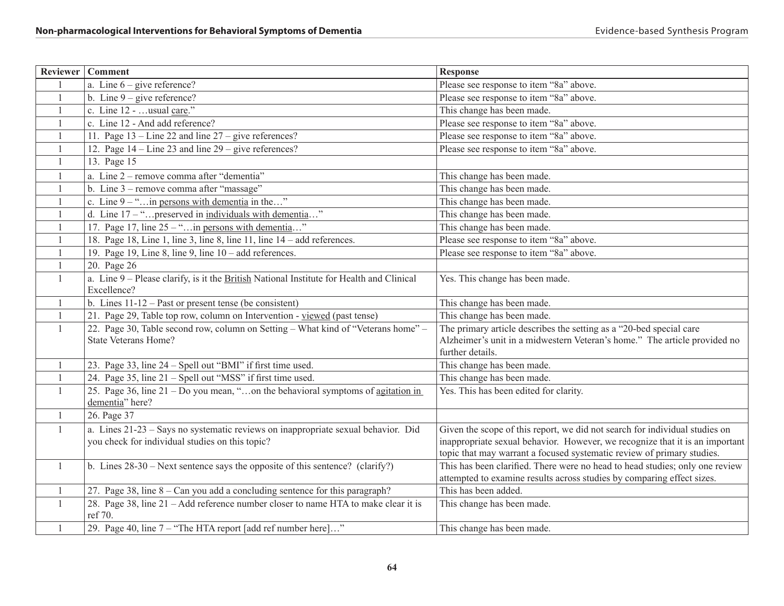|                | Reviewer   Comment                                                                       | <b>Response</b>                                                                                                                                        |
|----------------|------------------------------------------------------------------------------------------|--------------------------------------------------------------------------------------------------------------------------------------------------------|
|                | a. Line $6 - give$ reference?                                                            | Please see response to item "8a" above.                                                                                                                |
| $\mathbf{1}$   | b. Line $9 - give$ reference?                                                            | Please see response to item "8a" above.                                                                                                                |
| $\overline{1}$ | c. Line 12 -  usual care."                                                               | This change has been made.                                                                                                                             |
| $\overline{1}$ | c. Line 12 - And add reference?                                                          | Please see response to item "8a" above.                                                                                                                |
| $\overline{1}$ | 11. Page $13 -$ Line 22 and line $27 -$ give references?                                 | Please see response to item "8a" above.                                                                                                                |
| $\overline{1}$ | 12. Page $14$ – Line 23 and line $29$ – give references?                                 | Please see response to item "8a" above.                                                                                                                |
| $\overline{1}$ | 13. Page 15                                                                              |                                                                                                                                                        |
| -1             | a. Line 2 – remove comma after "dementia"                                                | This change has been made.                                                                                                                             |
| -1             | b. Line 3 – remove comma after "massage"                                                 | This change has been made.                                                                                                                             |
| -1             | c. Line $9 -$ " in persons with dementia in the"                                         | This change has been made.                                                                                                                             |
| $\mathbf{1}$   | d. Line $17 -$ "preserved in individuals with dementia"                                  | This change has been made.                                                                                                                             |
| $\mathbf{1}$   | 17. Page 17, line $25 -$ "in persons with dementia"                                      | This change has been made.                                                                                                                             |
| -1             | 18. Page 18, Line 1, line 3, line 8, line 11, line 14 – add references.                  | Please see response to item "8a" above.                                                                                                                |
| $\overline{1}$ | 19. Page 19, Line 8, line 9, line $10 - add$ references.                                 | Please see response to item "8a" above.                                                                                                                |
| 1              | 20. Page 26                                                                              |                                                                                                                                                        |
| $\mathbf{1}$   | a. Line 9 – Please clarify, is it the British National Institute for Health and Clinical | Yes. This change has been made.                                                                                                                        |
|                | Excellence?                                                                              |                                                                                                                                                        |
| $\mathbf{1}$   | b. Lines $11-12$ – Past or present tense (be consistent)                                 | This change has been made.                                                                                                                             |
| $\overline{1}$ | 21. Page 29, Table top row, column on Intervention - viewed (past tense)                 | This change has been made.                                                                                                                             |
| $\mathbf{1}$   | 22. Page 30, Table second row, column on Setting - What kind of "Veterans home" -        | The primary article describes the setting as a "20-bed special care                                                                                    |
|                | <b>State Veterans Home?</b>                                                              | Alzheimer's unit in a midwestern Veteran's home." The article provided no                                                                              |
|                |                                                                                          | further details.                                                                                                                                       |
| $\mathbf{1}$   | 23. Page 33, line 24 - Spell out "BMI" if first time used.                               | This change has been made.                                                                                                                             |
| $\mathbf{1}$   | 24. Page 35, line 21 – Spell out "MSS" if first time used.                               | This change has been made.                                                                                                                             |
| -1             | 25. Page 36, line $21 - Do$ you mean, "on the behavioral symptoms of agitation in        | Yes. This has been edited for clarity.                                                                                                                 |
|                | dementia" here?                                                                          |                                                                                                                                                        |
| $\mathbf{1}$   | 26. Page 37                                                                              |                                                                                                                                                        |
| $\mathbf{1}$   | a. Lines 21-23 - Says no systematic reviews on inappropriate sexual behavior. Did        | Given the scope of this report, we did not search for individual studies on                                                                            |
|                | you check for individual studies on this topic?                                          | inappropriate sexual behavior. However, we recognize that it is an important                                                                           |
|                |                                                                                          | topic that may warrant a focused systematic review of primary studies.                                                                                 |
| $\mathbf{1}$   | b. Lines $28-30$ – Next sentence says the opposite of this sentence? (clarify?)          | This has been clarified. There were no head to head studies; only one review<br>attempted to examine results across studies by comparing effect sizes. |
| 1              | 27. Page 38, line $8 - Can$ you add a concluding sentence for this paragraph?            | This has been added.                                                                                                                                   |
| 1              | 28. Page 38, line 21 – Add reference number closer to name HTA to make clear it is       | This change has been made.                                                                                                                             |
|                | ref 70.                                                                                  |                                                                                                                                                        |
| -1             | 29. Page 40, line 7 – "The HTA report [add ref number here]"                             | This change has been made.                                                                                                                             |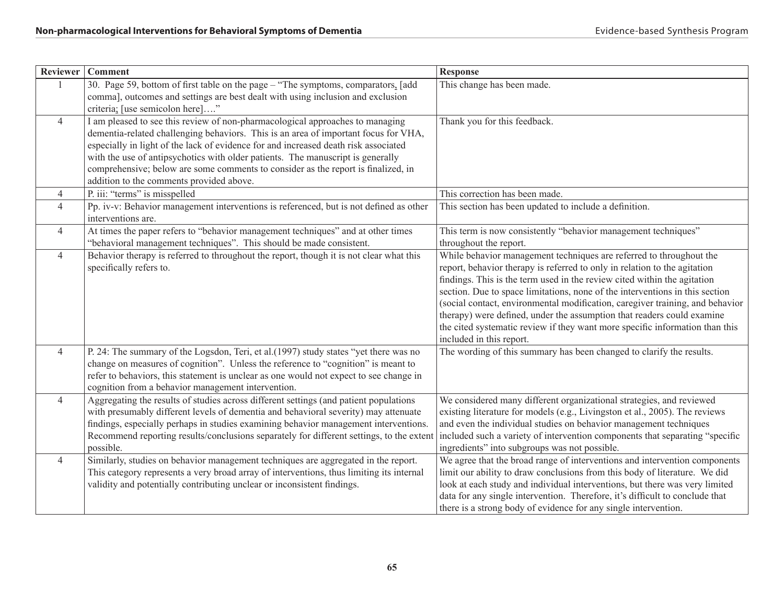| <b>Reviewer</b> | <b>Comment</b>                                                                                                                                                                                                                                                                                                                                                                                                                                                                  | <b>Response</b>                                                                                                                                                                                                                                                                                                                                                                                                                                                                                                                                                                     |
|-----------------|---------------------------------------------------------------------------------------------------------------------------------------------------------------------------------------------------------------------------------------------------------------------------------------------------------------------------------------------------------------------------------------------------------------------------------------------------------------------------------|-------------------------------------------------------------------------------------------------------------------------------------------------------------------------------------------------------------------------------------------------------------------------------------------------------------------------------------------------------------------------------------------------------------------------------------------------------------------------------------------------------------------------------------------------------------------------------------|
| $\overline{1}$  | 30. Page 59, bottom of first table on the page – "The symptoms, comparators, [add<br>comma], outcomes and settings are best dealt with using inclusion and exclusion<br>criteria; [use semicolon here]"                                                                                                                                                                                                                                                                         | This change has been made.                                                                                                                                                                                                                                                                                                                                                                                                                                                                                                                                                          |
| $\overline{4}$  | I am pleased to see this review of non-pharmacological approaches to managing<br>dementia-related challenging behaviors. This is an area of important focus for VHA,<br>especially in light of the lack of evidence for and increased death risk associated<br>with the use of antipsychotics with older patients. The manuscript is generally<br>comprehensive; below are some comments to consider as the report is finalized, in<br>addition to the comments provided above. | Thank you for this feedback.                                                                                                                                                                                                                                                                                                                                                                                                                                                                                                                                                        |
| $\overline{4}$  | P. iii: "terms" is misspelled                                                                                                                                                                                                                                                                                                                                                                                                                                                   | This correction has been made.                                                                                                                                                                                                                                                                                                                                                                                                                                                                                                                                                      |
| $\overline{4}$  | Pp. iv-v: Behavior management interventions is referenced, but is not defined as other<br>interventions are.                                                                                                                                                                                                                                                                                                                                                                    | This section has been updated to include a definition.                                                                                                                                                                                                                                                                                                                                                                                                                                                                                                                              |
| $\overline{4}$  | At times the paper refers to "behavior management techniques" and at other times<br>"behavioral management techniques". This should be made consistent.                                                                                                                                                                                                                                                                                                                         | This term is now consistently "behavior management techniques"<br>throughout the report.                                                                                                                                                                                                                                                                                                                                                                                                                                                                                            |
| $\overline{4}$  | Behavior therapy is referred to throughout the report, though it is not clear what this<br>specifically refers to.                                                                                                                                                                                                                                                                                                                                                              | While behavior management techniques are referred to throughout the<br>report, behavior therapy is referred to only in relation to the agitation<br>findings. This is the term used in the review cited within the agitation<br>section. Due to space limitations, none of the interventions in this section<br>(social contact, environmental modification, caregiver training, and behavior<br>therapy) were defined, under the assumption that readers could examine<br>the cited systematic review if they want more specific information than this<br>included in this report. |
| $\overline{4}$  | P. 24: The summary of the Logsdon, Teri, et al.(1997) study states "yet there was no<br>change on measures of cognition". Unless the reference to "cognition" is meant to<br>refer to behaviors, this statement is unclear as one would not expect to see change in<br>cognition from a behavior management intervention.                                                                                                                                                       | The wording of this summary has been changed to clarify the results.                                                                                                                                                                                                                                                                                                                                                                                                                                                                                                                |
| $\overline{4}$  | Aggregating the results of studies across different settings (and patient populations<br>with presumably different levels of dementia and behavioral severity) may attenuate<br>findings, especially perhaps in studies examining behavior management interventions.<br>Recommend reporting results/conclusions separately for different settings, to the extent<br>possible.                                                                                                   | We considered many different organizational strategies, and reviewed<br>existing literature for models (e.g., Livingston et al., 2005). The reviews<br>and even the individual studies on behavior management techniques<br>included such a variety of intervention components that separating "specific<br>ingredients" into subgroups was not possible.                                                                                                                                                                                                                           |
| $\overline{4}$  | Similarly, studies on behavior management techniques are aggregated in the report.<br>This category represents a very broad array of interventions, thus limiting its internal<br>validity and potentially contributing unclear or inconsistent findings.                                                                                                                                                                                                                       | We agree that the broad range of interventions and intervention components<br>limit our ability to draw conclusions from this body of literature. We did<br>look at each study and individual interventions, but there was very limited<br>data for any single intervention. Therefore, it's difficult to conclude that<br>there is a strong body of evidence for any single intervention.                                                                                                                                                                                          |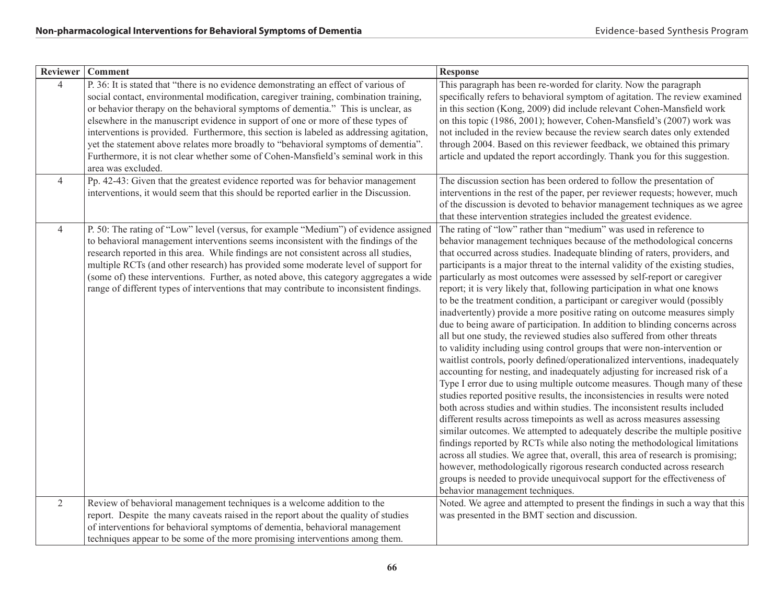|                | Reviewer   Comment                                                                                                                                                                                                                                                                                                                                                                                                                                                                                                                                                                                                                                   | Response                                                                                                                                                                                                                                                                                                                                                                                                                                                                                                                                                                                                                                                                                                                                                                                                                                                                                                                                                                                                                                                                                                                                                                                                                                                                                                                                                                                                                                                                                                                                                                                                                                                                                                                                                                                            |
|----------------|------------------------------------------------------------------------------------------------------------------------------------------------------------------------------------------------------------------------------------------------------------------------------------------------------------------------------------------------------------------------------------------------------------------------------------------------------------------------------------------------------------------------------------------------------------------------------------------------------------------------------------------------------|-----------------------------------------------------------------------------------------------------------------------------------------------------------------------------------------------------------------------------------------------------------------------------------------------------------------------------------------------------------------------------------------------------------------------------------------------------------------------------------------------------------------------------------------------------------------------------------------------------------------------------------------------------------------------------------------------------------------------------------------------------------------------------------------------------------------------------------------------------------------------------------------------------------------------------------------------------------------------------------------------------------------------------------------------------------------------------------------------------------------------------------------------------------------------------------------------------------------------------------------------------------------------------------------------------------------------------------------------------------------------------------------------------------------------------------------------------------------------------------------------------------------------------------------------------------------------------------------------------------------------------------------------------------------------------------------------------------------------------------------------------------------------------------------------------|
| $\overline{4}$ | P. 36: It is stated that "there is no evidence demonstrating an effect of various of<br>social contact, environmental modification, caregiver training, combination training,<br>or behavior therapy on the behavioral symptoms of dementia." This is unclear, as<br>elsewhere in the manuscript evidence in support of one or more of these types of<br>interventions is provided. Furthermore, this section is labeled as addressing agitation,<br>yet the statement above relates more broadly to "behavioral symptoms of dementia".<br>Furthermore, it is not clear whether some of Cohen-Mansfield's seminal work in this<br>area was excluded. | This paragraph has been re-worded for clarity. Now the paragraph<br>specifically refers to behavioral symptom of agitation. The review examined<br>in this section (Kong, 2009) did include relevant Cohen-Mansfield work<br>on this topic (1986, 2001); however, Cohen-Mansfield's (2007) work was<br>not included in the review because the review search dates only extended<br>through 2004. Based on this reviewer feedback, we obtained this primary<br>article and updated the report accordingly. Thank you for this suggestion.                                                                                                                                                                                                                                                                                                                                                                                                                                                                                                                                                                                                                                                                                                                                                                                                                                                                                                                                                                                                                                                                                                                                                                                                                                                            |
| $\overline{4}$ | Pp. 42-43: Given that the greatest evidence reported was for behavior management<br>interventions, it would seem that this should be reported earlier in the Discussion.                                                                                                                                                                                                                                                                                                                                                                                                                                                                             | The discussion section has been ordered to follow the presentation of<br>interventions in the rest of the paper, per reviewer requests; however, much<br>of the discussion is devoted to behavior management techniques as we agree<br>that these intervention strategies included the greatest evidence.                                                                                                                                                                                                                                                                                                                                                                                                                                                                                                                                                                                                                                                                                                                                                                                                                                                                                                                                                                                                                                                                                                                                                                                                                                                                                                                                                                                                                                                                                           |
| $\overline{4}$ | P. 50: The rating of "Low" level (versus, for example "Medium") of evidence assigned<br>to behavioral management interventions seems inconsistent with the findings of the<br>research reported in this area. While findings are not consistent across all studies,<br>multiple RCTs (and other research) has provided some moderate level of support for<br>(some of) these interventions. Further, as noted above, this category aggregates a wide<br>range of different types of interventions that may contribute to inconsistent findings.                                                                                                      | The rating of "low" rather than "medium" was used in reference to<br>behavior management techniques because of the methodological concerns<br>that occurred across studies. Inadequate blinding of raters, providers, and<br>participants is a major threat to the internal validity of the existing studies,<br>particularly as most outcomes were assessed by self-report or caregiver<br>report; it is very likely that, following participation in what one knows<br>to be the treatment condition, a participant or caregiver would (possibly<br>inadvertently) provide a more positive rating on outcome measures simply<br>due to being aware of participation. In addition to blinding concerns across<br>all but one study, the reviewed studies also suffered from other threats<br>to validity including using control groups that were non-intervention or<br>waitlist controls, poorly defined/operationalized interventions, inadequately<br>accounting for nesting, and inadequately adjusting for increased risk of a<br>Type I error due to using multiple outcome measures. Though many of these<br>studies reported positive results, the inconsistencies in results were noted<br>both across studies and within studies. The inconsistent results included<br>different results across timepoints as well as across measures assessing<br>similar outcomes. We attempted to adequately describe the multiple positive<br>findings reported by RCTs while also noting the methodological limitations<br>across all studies. We agree that, overall, this area of research is promising;<br>however, methodologically rigorous research conducted across research<br>groups is needed to provide unequivocal support for the effectiveness of<br>behavior management techniques. |
| $\overline{2}$ | Review of behavioral management techniques is a welcome addition to the                                                                                                                                                                                                                                                                                                                                                                                                                                                                                                                                                                              | Noted. We agree and attempted to present the findings in such a way that this                                                                                                                                                                                                                                                                                                                                                                                                                                                                                                                                                                                                                                                                                                                                                                                                                                                                                                                                                                                                                                                                                                                                                                                                                                                                                                                                                                                                                                                                                                                                                                                                                                                                                                                       |
|                | report. Despite the many caveats raised in the report about the quality of studies                                                                                                                                                                                                                                                                                                                                                                                                                                                                                                                                                                   | was presented in the BMT section and discussion.                                                                                                                                                                                                                                                                                                                                                                                                                                                                                                                                                                                                                                                                                                                                                                                                                                                                                                                                                                                                                                                                                                                                                                                                                                                                                                                                                                                                                                                                                                                                                                                                                                                                                                                                                    |
|                | of interventions for behavioral symptoms of dementia, behavioral management<br>techniques appear to be some of the more promising interventions among them.                                                                                                                                                                                                                                                                                                                                                                                                                                                                                          |                                                                                                                                                                                                                                                                                                                                                                                                                                                                                                                                                                                                                                                                                                                                                                                                                                                                                                                                                                                                                                                                                                                                                                                                                                                                                                                                                                                                                                                                                                                                                                                                                                                                                                                                                                                                     |
|                |                                                                                                                                                                                                                                                                                                                                                                                                                                                                                                                                                                                                                                                      |                                                                                                                                                                                                                                                                                                                                                                                                                                                                                                                                                                                                                                                                                                                                                                                                                                                                                                                                                                                                                                                                                                                                                                                                                                                                                                                                                                                                                                                                                                                                                                                                                                                                                                                                                                                                     |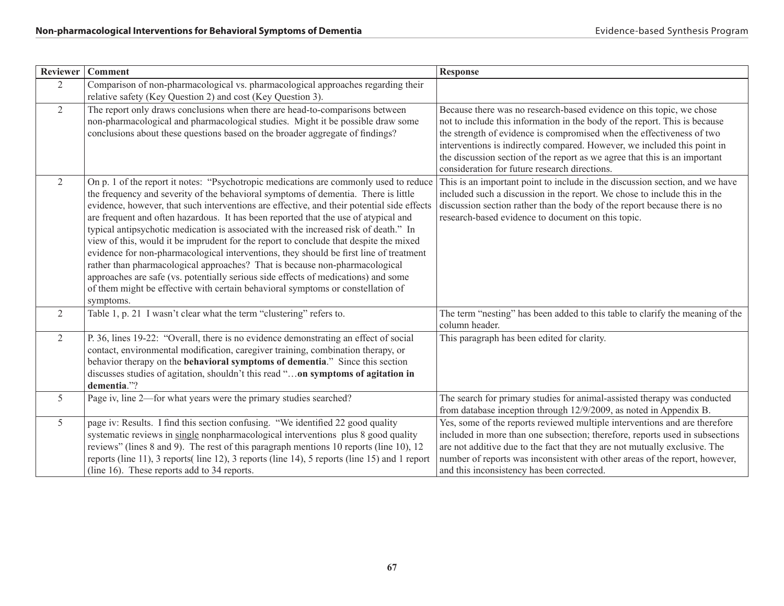| Reviewer        | <b>Comment</b>                                                                                                                                                                                                                                                                                                                                                                                                                                                                                                                                                                                                                                                                                                                                                                                                                                                                                                   | <b>Response</b>                                                                                                                                                                                                                                                                                                                                                                                                                        |
|-----------------|------------------------------------------------------------------------------------------------------------------------------------------------------------------------------------------------------------------------------------------------------------------------------------------------------------------------------------------------------------------------------------------------------------------------------------------------------------------------------------------------------------------------------------------------------------------------------------------------------------------------------------------------------------------------------------------------------------------------------------------------------------------------------------------------------------------------------------------------------------------------------------------------------------------|----------------------------------------------------------------------------------------------------------------------------------------------------------------------------------------------------------------------------------------------------------------------------------------------------------------------------------------------------------------------------------------------------------------------------------------|
| 2               | Comparison of non-pharmacological vs. pharmacological approaches regarding their<br>relative safety (Key Question 2) and cost (Key Question 3).                                                                                                                                                                                                                                                                                                                                                                                                                                                                                                                                                                                                                                                                                                                                                                  |                                                                                                                                                                                                                                                                                                                                                                                                                                        |
| 2               | The report only draws conclusions when there are head-to-comparisons between<br>non-pharmacological and pharmacological studies. Might it be possible draw some<br>conclusions about these questions based on the broader aggregate of findings?                                                                                                                                                                                                                                                                                                                                                                                                                                                                                                                                                                                                                                                                 | Because there was no research-based evidence on this topic, we chose<br>not to include this information in the body of the report. This is because<br>the strength of evidence is compromised when the effectiveness of two<br>interventions is indirectly compared. However, we included this point in<br>the discussion section of the report as we agree that this is an important<br>consideration for future research directions. |
| 2               | On p. 1 of the report it notes: "Psychotropic medications are commonly used to reduce<br>the frequency and severity of the behavioral symptoms of dementia. There is little<br>evidence, however, that such interventions are effective, and their potential side effects<br>are frequent and often hazardous. It has been reported that the use of atypical and<br>typical antipsychotic medication is associated with the increased risk of death." In<br>view of this, would it be imprudent for the report to conclude that despite the mixed<br>evidence for non-pharmacological interventions, they should be first line of treatment<br>rather than pharmacological approaches? That is because non-pharmacological<br>approaches are safe (vs. potentially serious side effects of medications) and some<br>of them might be effective with certain behavioral symptoms or constellation of<br>symptoms. | This is an important point to include in the discussion section, and we have<br>included such a discussion in the report. We chose to include this in the<br>discussion section rather than the body of the report because there is no<br>research-based evidence to document on this topic.                                                                                                                                           |
| $\overline{2}$  | Table 1, p. 21 I wasn't clear what the term "clustering" refers to.                                                                                                                                                                                                                                                                                                                                                                                                                                                                                                                                                                                                                                                                                                                                                                                                                                              | The term "nesting" has been added to this table to clarify the meaning of the<br>column header.                                                                                                                                                                                                                                                                                                                                        |
| 2               | P. 36, lines 19-22: "Overall, there is no evidence demonstrating an effect of social<br>contact, environmental modification, caregiver training, combination therapy, or<br>behavior therapy on the behavioral symptoms of dementia." Since this section<br>discusses studies of agitation, shouldn't this read "on symptoms of agitation in<br>dementia."?                                                                                                                                                                                                                                                                                                                                                                                                                                                                                                                                                      | This paragraph has been edited for clarity.                                                                                                                                                                                                                                                                                                                                                                                            |
| $5\overline{)}$ | Page iv, line 2—for what years were the primary studies searched?                                                                                                                                                                                                                                                                                                                                                                                                                                                                                                                                                                                                                                                                                                                                                                                                                                                | The search for primary studies for animal-assisted therapy was conducted<br>from database inception through 12/9/2009, as noted in Appendix B.                                                                                                                                                                                                                                                                                         |
| $5\overline{)}$ | page iv: Results. I find this section confusing. "We identified 22 good quality<br>systematic reviews in single nonpharmacological interventions plus 8 good quality<br>reviews" (lines 8 and 9). The rest of this paragraph mentions 10 reports (line 10), 12<br>reports (line 11), 3 reports (line 12), 3 reports (line 14), 5 reports (line 15) and 1 report<br>(line 16). These reports add to 34 reports.                                                                                                                                                                                                                                                                                                                                                                                                                                                                                                   | Yes, some of the reports reviewed multiple interventions and are therefore<br>included in more than one subsection; therefore, reports used in subsections<br>are not additive due to the fact that they are not mutually exclusive. The<br>number of reports was inconsistent with other areas of the report, however,<br>and this inconsistency has been corrected.                                                                  |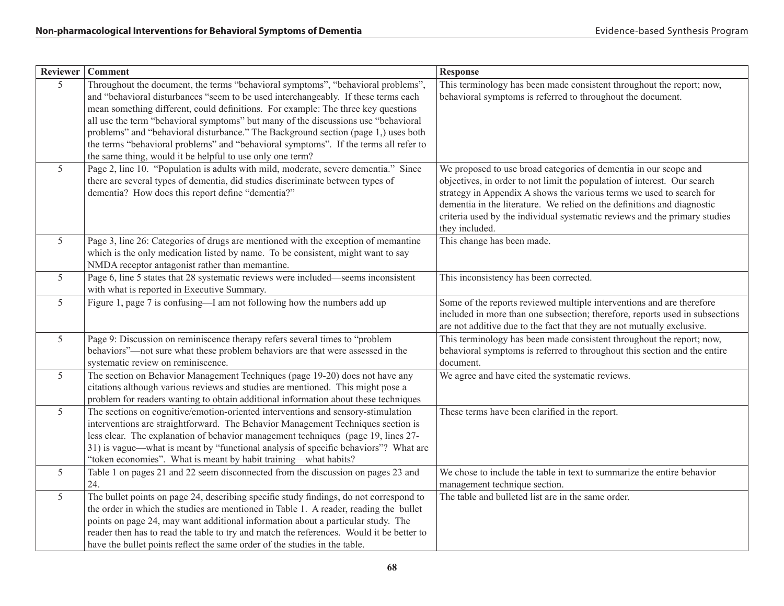| <b>Reviewer</b> | <b>Comment</b>                                                                                                                                                                                                                                                                                                                                                                                                                                                                                                                                                                               | <b>Response</b>                                                                                                                                                                                                                                                                                                                                                                                 |
|-----------------|----------------------------------------------------------------------------------------------------------------------------------------------------------------------------------------------------------------------------------------------------------------------------------------------------------------------------------------------------------------------------------------------------------------------------------------------------------------------------------------------------------------------------------------------------------------------------------------------|-------------------------------------------------------------------------------------------------------------------------------------------------------------------------------------------------------------------------------------------------------------------------------------------------------------------------------------------------------------------------------------------------|
| $\overline{5}$  | Throughout the document, the terms "behavioral symptoms", "behavioral problems",<br>and "behavioral disturbances "seem to be used interchangeably. If these terms each<br>mean something different, could definitions. For example: The three key questions<br>all use the term "behavioral symptoms" but many of the discussions use "behavioral<br>problems" and "behavioral disturbance." The Background section (page 1,) uses both<br>the terms "behavioral problems" and "behavioral symptoms". If the terms all refer to<br>the same thing, would it be helpful to use only one term? | This terminology has been made consistent throughout the report; now,<br>behavioral symptoms is referred to throughout the document.                                                                                                                                                                                                                                                            |
| $5\overline{)}$ | Page 2, line 10. "Population is adults with mild, moderate, severe dementia." Since<br>there are several types of dementia, did studies discriminate between types of<br>dementia? How does this report define "dementia?"                                                                                                                                                                                                                                                                                                                                                                   | We proposed to use broad categories of dementia in our scope and<br>objectives, in order to not limit the population of interest. Our search<br>strategy in Appendix A shows the various terms we used to search for<br>dementia in the literature. We relied on the definitions and diagnostic<br>criteria used by the individual systematic reviews and the primary studies<br>they included. |
| $5\overline{)}$ | Page 3, line 26: Categories of drugs are mentioned with the exception of memantine<br>which is the only medication listed by name. To be consistent, might want to say<br>NMDA receptor antagonist rather than memantine.                                                                                                                                                                                                                                                                                                                                                                    | This change has been made.                                                                                                                                                                                                                                                                                                                                                                      |
| 5 <sup>5</sup>  | Page 6, line 5 states that 28 systematic reviews were included—seems inconsistent<br>with what is reported in Executive Summary.                                                                                                                                                                                                                                                                                                                                                                                                                                                             | This inconsistency has been corrected.                                                                                                                                                                                                                                                                                                                                                          |
| $5\overline{)}$ | Figure 1, page 7 is confusing—I am not following how the numbers add up                                                                                                                                                                                                                                                                                                                                                                                                                                                                                                                      | Some of the reports reviewed multiple interventions and are therefore<br>included in more than one subsection; therefore, reports used in subsections<br>are not additive due to the fact that they are not mutually exclusive.                                                                                                                                                                 |
| 5 <sup>5</sup>  | Page 9: Discussion on reminiscence therapy refers several times to "problem<br>behaviors"-not sure what these problem behaviors are that were assessed in the<br>systematic review on reminiscence.                                                                                                                                                                                                                                                                                                                                                                                          | This terminology has been made consistent throughout the report; now,<br>behavioral symptoms is referred to throughout this section and the entire<br>document.                                                                                                                                                                                                                                 |
| 5 <sup>5</sup>  | The section on Behavior Management Techniques (page 19-20) does not have any<br>citations although various reviews and studies are mentioned. This might pose a<br>problem for readers wanting to obtain additional information about these techniques                                                                                                                                                                                                                                                                                                                                       | We agree and have cited the systematic reviews.                                                                                                                                                                                                                                                                                                                                                 |
| $5\overline{)}$ | The sections on cognitive/emotion-oriented interventions and sensory-stimulation<br>interventions are straightforward. The Behavior Management Techniques section is<br>less clear. The explanation of behavior management techniques (page 19, lines 27-<br>31) is vague—what is meant by "functional analysis of specific behaviors"? What are<br>"token economies". What is meant by habit training-what habits?                                                                                                                                                                          | These terms have been clarified in the report.                                                                                                                                                                                                                                                                                                                                                  |
| $5\overline{)}$ | Table 1 on pages 21 and 22 seem disconnected from the discussion on pages 23 and<br>24.                                                                                                                                                                                                                                                                                                                                                                                                                                                                                                      | We chose to include the table in text to summarize the entire behavior<br>management technique section.                                                                                                                                                                                                                                                                                         |
| $5\overline{)}$ | The bullet points on page 24, describing specific study findings, do not correspond to<br>the order in which the studies are mentioned in Table 1. A reader, reading the bullet<br>points on page 24, may want additional information about a particular study. The<br>reader then has to read the table to try and match the references. Would it be better to<br>have the bullet points reflect the same order of the studies in the table.                                                                                                                                                | The table and bulleted list are in the same order.                                                                                                                                                                                                                                                                                                                                              |